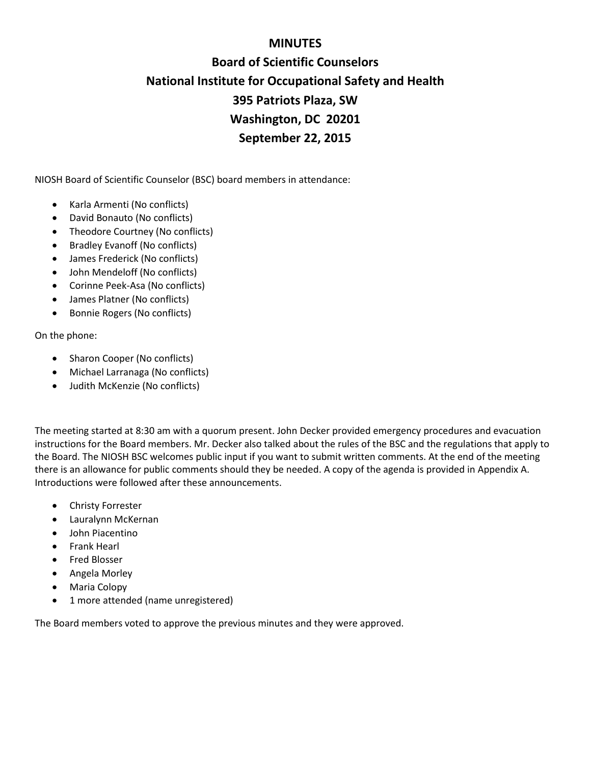## **MINUTES**

# **Board of Scientific Counselors National Institute for Occupational Safety and Health 395 Patriots Plaza, SW Washington, DC 20201 September 22, 2015**

NIOSH Board of Scientific Counselor (BSC) board members in attendance:

- Karla Armenti (No conflicts)
- David Bonauto (No conflicts)
- Theodore Courtney (No conflicts)
- Bradley Evanoff (No conflicts)
- James Frederick (No conflicts)
- John Mendeloff (No conflicts)
- Corinne Peek-Asa (No conflicts)
- James Platner (No conflicts)
- Bonnie Rogers (No conflicts)

On the phone:

- Sharon Cooper (No conflicts)
- Michael Larranaga (No conflicts)
- Judith McKenzie (No conflicts)

The meeting started at 8:30 am with a quorum present. John Decker provided emergency procedures and evacuation instructions for the Board members. Mr. Decker also talked about the rules of the BSC and the regulations that apply to the Board. The NIOSH BSC welcomes public input if you want to submit written comments. At the end of the meeting there is an allowance for public comments should they be needed. A copy of the agenda is provided in Appendix A. Introductions were followed after these announcements.

- Christy Forrester
- Lauralynn McKernan
- John Piacentino
- Frank Hearl
- Fred Blosser
- Angela Morley
- Maria Colopy
- 1 more attended (name unregistered)

The Board members voted to approve the previous minutes and they were approved.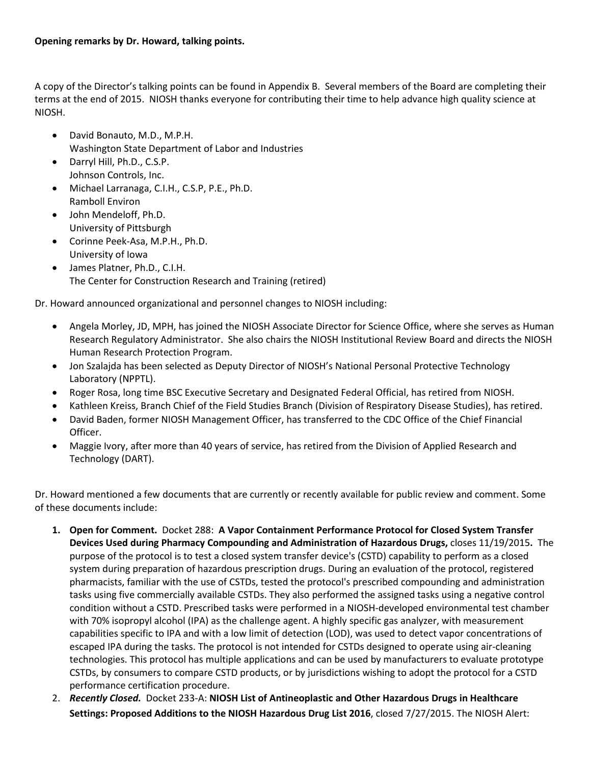A copy of the Director's talking points can be found in Appendix B. Several members of the Board are completing their terms at the end of 2015. NIOSH thanks everyone for contributing their time to help advance high quality science at NIOSH.

- David Bonauto, M.D., M.P.H. Washington State Department of Labor and Industries
- Darryl Hill, Ph.D., C.S.P. Johnson Controls, Inc.
- Michael Larranaga, C.I.H., C.S.P, P.E., Ph.D. Ramboll Environ
- John Mendeloff, Ph.D. University of Pittsburgh
- Corinne Peek-Asa, M.P.H., Ph.D. University of Iowa
- James Platner, Ph.D., C.I.H. The Center for Construction Research and Training (retired)

Dr. Howard announced organizational and personnel changes to NIOSH including:

- Angela Morley, JD, MPH, has joined the NIOSH Associate Director for Science Office, where she serves as Human Research Regulatory Administrator. She also chairs the NIOSH Institutional Review Board and directs the NIOSH Human Research Protection Program.
- Jon Szalajda has been selected as Deputy Director of NIOSH's National Personal Protective Technology Laboratory (NPPTL).
- Roger Rosa, long time BSC Executive Secretary and Designated Federal Official, has retired from NIOSH.
- Kathleen Kreiss, Branch Chief of the Field Studies Branch (Division of Respiratory Disease Studies), has retired.
- David Baden, former NIOSH Management Officer, has transferred to the CDC Office of the Chief Financial Officer.
- Maggie Ivory, after more than 40 years of service, has retired from the Division of Applied Research and Technology (DART).

Dr. Howard mentioned a few documents that are currently or recently available for public review and comment. Some of these documents include:

- **1. Open for Comment.** Docket 288: **A Vapor Containment Performance Protocol for Closed System Transfer Devices Used during Pharmacy Compounding and Administration of Hazardous Drugs,** closes 11/19/2015**.** The purpose of the protocol is to test a closed system transfer device's (CSTD) capability to perform as a closed system during preparation of hazardous prescription drugs. During an evaluation of the protocol, registered pharmacists, familiar with the use of CSTDs, tested the protocol's prescribed compounding and administration tasks using five commercially available CSTDs. They also performed the assigned tasks using a negative control condition without a CSTD. Prescribed tasks were performed in a NIOSH-developed environmental test chamber with 70% isopropyl alcohol (IPA) as the challenge agent. A highly specific gas analyzer, with measurement capabilities specific to IPA and with a low limit of detection (LOD), was used to detect vapor concentrations of escaped IPA during the tasks. The protocol is not intended for CSTDs designed to operate using air-cleaning technologies. This protocol has multiple applications and can be used by manufacturers to evaluate prototype CSTDs, by consumers to compare CSTD products, or by jurisdictions wishing to adopt the protocol for a CSTD performance certification procedure.
- 2. *Recently Closed.* Docket 233-A: **NIOSH List of Antineoplastic and Other Hazardous Drugs in Healthcare Settings: Proposed Additions to the NIOSH Hazardous Drug List 2016**, closed 7/27/2015. The NIOSH Alert: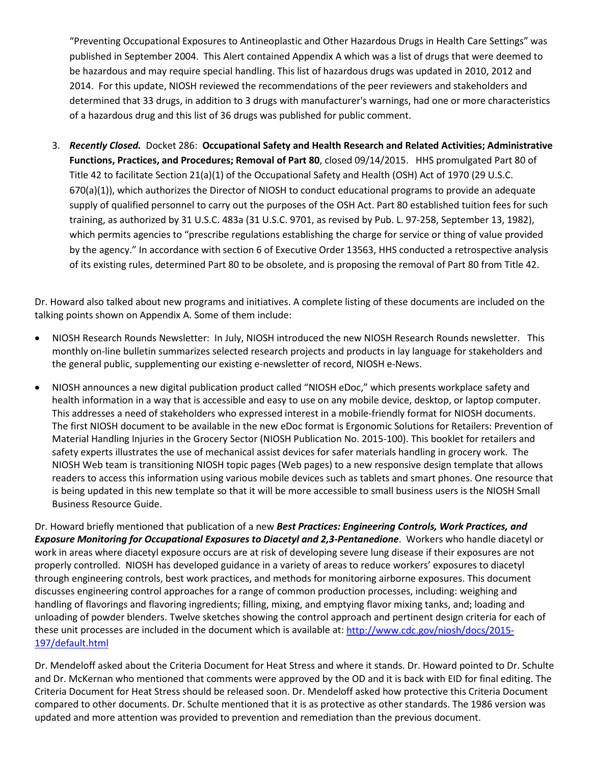"Preventing Occupational Exposures to Antineoplastic and Other Hazardous Drugs in Health Care Settings" was published in September 2004. This Alert contained Appendix A which was a list of drugs that were deemed to be hazardous and may require special handling. This list of hazardous drugs was updated in 2010, 2012 and 2014. For this update, NIOSH reviewed the recommendations of the peer reviewers and stakeholders and determined that 33 drugs, in addition to 3 drugs with manufacturer's warnings, had one or more characteristics of a hazardous drug and this list of 36 drugs was published for public comment.

3. *Recently Closed.* Docket 286: **Occupational Safety and Health Research and Related Activities; Administrative Functions, Practices, and Procedures; Removal of Part 80**, closed 09/14/2015. HHS promulgated Part 80 of Title 42 to facilitate Section 21(a)(1) of the Occupational Safety and Health (OSH) Act of 1970 (29 U.S.C. 670(a)(1)), which authorizes the Director of NIOSH to conduct educational programs to provide an adequate supply of qualified personnel to carry out the purposes of the OSH Act. Part 80 established tuition fees for such training, as authorized by 31 U.S.C. 483a (31 U.S.C. 9701, as revised by Pub. L. 97-258, September 13, 1982), which permits agencies to "prescribe regulations establishing the charge for service or thing of value provided by the agency." In accordance with section 6 of Executive Order 13563, HHS conducted a retrospective analysis of its existing rules, determined Part 80 to be obsolete, and is proposing the removal of Part 80 from Title 42.

Dr. Howard also talked about new programs and initiatives. A complete listing of these documents are included on the talking points shown on Appendix A. Some of them include:

- NIOSH Research Rounds Newsletter: In July, NIOSH introduced the new NIOSH Research Rounds newsletter. This monthly on-line bulletin summarizes selected research projects and products in lay language for stakeholders and the general public, supplementing our existing e-newsletter of record, NIOSH e-News.
- NIOSH announces a new digital publication product called "NIOSH eDoc," which presents workplace safety and health information in a way that is accessible and easy to use on any mobile device, desktop, or laptop computer. This addresses a need of stakeholders who expressed interest in a mobile-friendly format for NIOSH documents. The first NIOSH document to be available in the new eDoc format is Ergonomic Solutions for Retailers: Prevention of Material Handling Injuries in the Grocery Sector (NIOSH Publication No. 2015-100). This booklet for retailers and safety experts illustrates the use of mechanical assist devices for safer materials handling in grocery work. The NIOSH Web team is transitioning NIOSH topic pages (Web pages) to a new responsive design template that allows readers to access this information using various mobile devices such as tablets and smart phones. One resource that is being updated in this new template so that it will be more accessible to small business users is the NIOSH Small Business Resource Guide.

Dr. Howard briefly mentioned that publication of a new *Best Practices: Engineering Controls, Work Practices, and Exposure Monitoring for Occupational Exposures to Diacetyl and 2,3-Pentanedione*. Workers who handle diacetyl or work in areas where diacetyl exposure occurs are at risk of developing severe lung disease if their exposures are not properly controlled. NIOSH has developed guidance in a variety of areas to reduce workers' exposures to diacetyl through engineering controls, best work practices, and methods for monitoring airborne exposures. This document discusses engineering control approaches for a range of common production processes, including: weighing and handling of flavorings and flavoring ingredients; filling, mixing, and emptying flavor mixing tanks, and; loading and unloading of powder blenders. Twelve sketches showing the control approach and pertinent design criteria for each of these unit processes are included in the document which is available at: [http://www.cdc.gov/niosh/docs/2015-](http://www.cdc.gov/niosh/docs/2015-197/default.html) [197/default.html](http://www.cdc.gov/niosh/docs/2015-197/default.html)

Dr. Mendeloff asked about the Criteria Document for Heat Stress and where it stands. Dr. Howard pointed to Dr. Schulte and Dr. McKernan who mentioned that comments were approved by the OD and it is back with EID for final editing. The Criteria Document for Heat Stress should be released soon. Dr. Mendeloff asked how protective this Criteria Document compared to other documents. Dr. Schulte mentioned that it is as protective as other standards. The 1986 version was updated and more attention was provided to prevention and remediation than the previous document.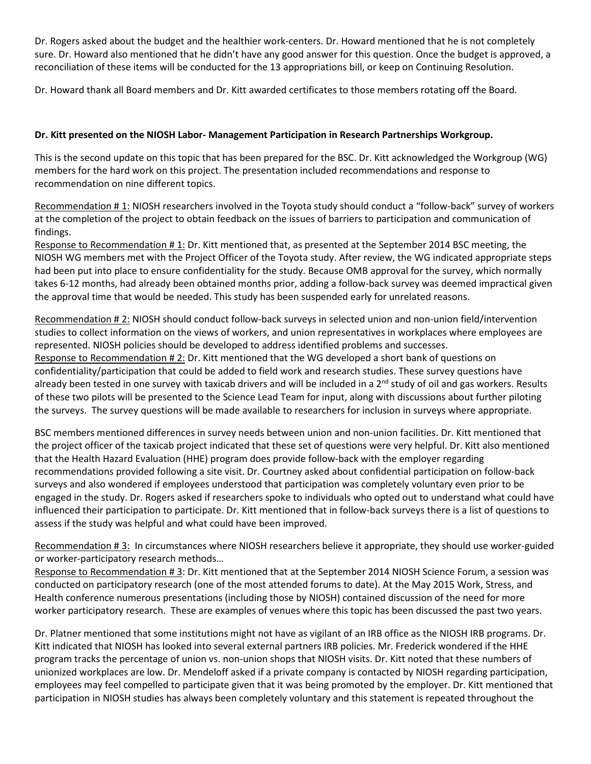Dr. Rogers asked about the budget and the healthier work-centers. Dr. Howard mentioned that he is not completely sure. Dr. Howard also mentioned that he didn't have any good answer for this question. Once the budget is approved, a reconciliation of these items will be conducted for the 13 appropriations bill, or keep on Continuing Resolution.

Dr. Howard thank all Board members and Dr. Kitt awarded certificates to those members rotating off the Board.

## **Dr. Kitt presented on the NIOSH Labor- Management Participation in Research Partnerships Workgroup.**

This is the second update on this topic that has been prepared for the BSC. Dr. Kitt acknowledged the Workgroup (WG) members for the hard work on this project. The presentation included recommendations and response to recommendation on nine different topics.

Recommendation # 1: NIOSH researchers involved in the Toyota study should conduct a "follow-back" survey of workers at the completion of the project to obtain feedback on the issues of barriers to participation and communication of findings.

Response to Recommendation # 1: Dr. Kitt mentioned that, as presented at the September 2014 BSC meeting, the NIOSH WG members met with the Project Officer of the Toyota study. After review, the WG indicated appropriate steps had been put into place to ensure confidentiality for the study. Because OMB approval for the survey, which normally takes 6-12 months, had already been obtained months prior, adding a follow-back survey was deemed impractical given the approval time that would be needed. This study has been suspended early for unrelated reasons.

Recommendation # 2: NIOSH should conduct follow-back surveys in selected union and non-union field/intervention studies to collect information on the views of workers, and union representatives in workplaces where employees are represented. NIOSH policies should be developed to address identified problems and successes. Response to Recommendation # 2: Dr. Kitt mentioned that the WG developed a short bank of questions on confidentiality/participation that could be added to field work and research studies. These survey questions have already been tested in one survey with taxicab drivers and will be included in a  $2^{nd}$  study of oil and gas workers. Results of these two pilots will be presented to the Science Lead Team for input, along with discussions about further piloting the surveys. The survey questions will be made available to researchers for inclusion in surveys where appropriate.

BSC members mentioned differences in survey needs between union and non-union facilities. Dr. Kitt mentioned that the project officer of the taxicab project indicated that these set of questions were very helpful. Dr. Kitt also mentioned that the Health Hazard Evaluation (HHE) program does provide follow-back with the employer regarding recommendations provided following a site visit. Dr. Courtney asked about confidential participation on follow-back surveys and also wondered if employees understood that participation was completely voluntary even prior to be engaged in the study. Dr. Rogers asked if researchers spoke to individuals who opted out to understand what could have influenced their participation to participate. Dr. Kitt mentioned that in follow-back surveys there is a list of questions to assess if the study was helpful and what could have been improved.

Recommendation # 3: In circumstances where NIOSH researchers believe it appropriate, they should use worker-guided or worker-participatory research methods…

Response to Recommendation # 3: Dr. Kitt mentioned that at the September 2014 NIOSH Science Forum, a session was conducted on participatory research (one of the most attended forums to date). At the May 2015 Work, Stress, and Health conference numerous presentations (including those by NIOSH) contained discussion of the need for more worker participatory research. These are examples of venues where this topic has been discussed the past two years.

Dr. Platner mentioned that some institutions might not have as vigilant of an IRB office as the NIOSH IRB programs. Dr. Kitt indicated that NIOSH has looked into several external partners IRB policies. Mr. Frederick wondered if the HHE program tracks the percentage of union vs. non-union shops that NIOSH visits. Dr. Kitt noted that these numbers of unionized workplaces are low. Dr. Mendeloff asked if a private company is contacted by NIOSH regarding participation, employees may feel compelled to participate given that it was being promoted by the employer. Dr. Kitt mentioned that participation in NIOSH studies has always been completely voluntary and this statement is repeated throughout the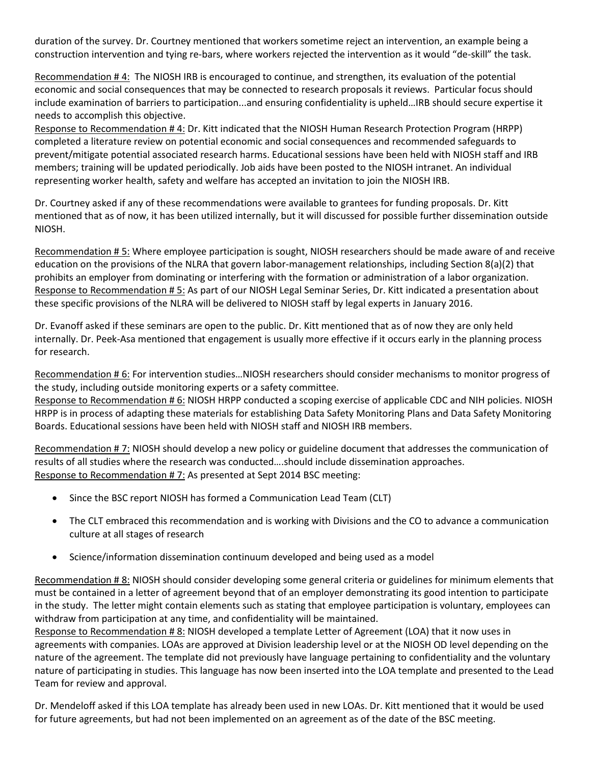duration of the survey. Dr. Courtney mentioned that workers sometime reject an intervention, an example being a construction intervention and tying re-bars, where workers rejected the intervention as it would "de-skill" the task.

Recommendation # 4: The NIOSH IRB is encouraged to continue, and strengthen, its evaluation of the potential economic and social consequences that may be connected to research proposals it reviews. Particular focus should include examination of barriers to participation...and ensuring confidentiality is upheld…IRB should secure expertise it needs to accomplish this objective.

Response to Recommendation # 4: Dr. Kitt indicated that the NIOSH Human Research Protection Program (HRPP) completed a literature review on potential economic and social consequences and recommended safeguards to prevent/mitigate potential associated research harms. Educational sessions have been held with NIOSH staff and IRB members; training will be updated periodically. Job aids have been posted to the NIOSH intranet. An individual representing worker health, safety and welfare has accepted an invitation to join the NIOSH IRB.

Dr. Courtney asked if any of these recommendations were available to grantees for funding proposals. Dr. Kitt mentioned that as of now, it has been utilized internally, but it will discussed for possible further dissemination outside NIOSH.

Recommendation # 5: Where employee participation is sought, NIOSH researchers should be made aware of and receive education on the provisions of the NLRA that govern labor-management relationships, including Section 8(a)(2) that prohibits an employer from dominating or interfering with the formation or administration of a labor organization. Response to Recommendation # 5: As part of our NIOSH Legal Seminar Series, Dr. Kitt indicated a presentation about these specific provisions of the NLRA will be delivered to NIOSH staff by legal experts in January 2016.

Dr. Evanoff asked if these seminars are open to the public. Dr. Kitt mentioned that as of now they are only held internally. Dr. Peek-Asa mentioned that engagement is usually more effective if it occurs early in the planning process for research.

Recommendation # 6: For intervention studies…NIOSH researchers should consider mechanisms to monitor progress of the study, including outside monitoring experts or a safety committee.

Response to Recommendation # 6: NIOSH HRPP conducted a scoping exercise of applicable CDC and NIH policies. NIOSH HRPP is in process of adapting these materials for establishing Data Safety Monitoring Plans and Data Safety Monitoring Boards. Educational sessions have been held with NIOSH staff and NIOSH IRB members.

Recommendation # 7: NIOSH should develop a new policy or guideline document that addresses the communication of results of all studies where the research was conducted….should include dissemination approaches. Response to Recommendation # 7: As presented at Sept 2014 BSC meeting:

- Since the BSC report NIOSH has formed a Communication Lead Team (CLT)
- The CLT embraced this recommendation and is working with Divisions and the CO to advance a communication culture at all stages of research
- Science/information dissemination continuum developed and being used as a model

Recommendation # 8: NIOSH should consider developing some general criteria or guidelines for minimum elements that must be contained in a letter of agreement beyond that of an employer demonstrating its good intention to participate in the study. The letter might contain elements such as stating that employee participation is voluntary, employees can withdraw from participation at any time, and confidentiality will be maintained.

Response to Recommendation # 8: NIOSH developed a template Letter of Agreement (LOA) that it now uses in agreements with companies. LOAs are approved at Division leadership level or at the NIOSH OD level depending on the nature of the agreement. The template did not previously have language pertaining to confidentiality and the voluntary nature of participating in studies. This language has now been inserted into the LOA template and presented to the Lead Team for review and approval.

Dr. Mendeloff asked if this LOA template has already been used in new LOAs. Dr. Kitt mentioned that it would be used for future agreements, but had not been implemented on an agreement as of the date of the BSC meeting.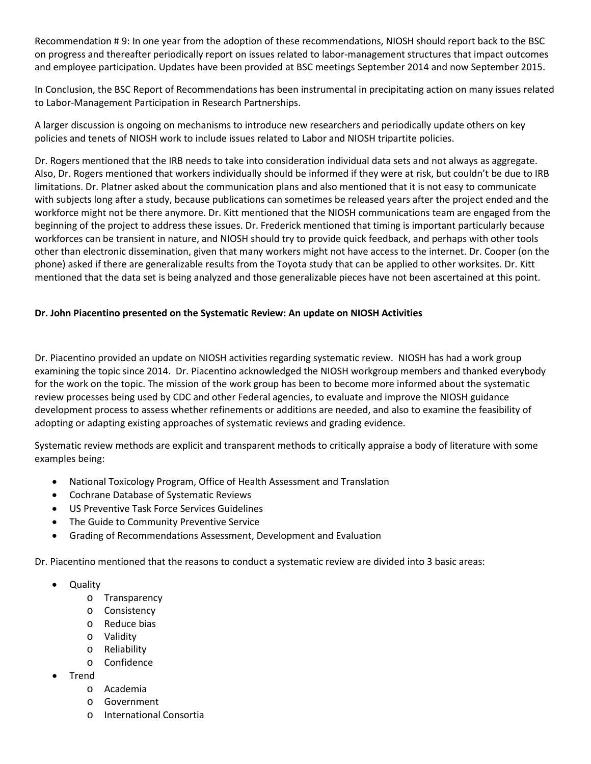Recommendation # 9: In one year from the adoption of these recommendations, NIOSH should report back to the BSC on progress and thereafter periodically report on issues related to labor-management structures that impact outcomes and employee participation. Updates have been provided at BSC meetings September 2014 and now September 2015.

In Conclusion, the BSC Report of Recommendations has been instrumental in precipitating action on many issues related to Labor-Management Participation in Research Partnerships.

A larger discussion is ongoing on mechanisms to introduce new researchers and periodically update others on key policies and tenets of NIOSH work to include issues related to Labor and NIOSH tripartite policies.

Dr. Rogers mentioned that the IRB needs to take into consideration individual data sets and not always as aggregate. Also, Dr. Rogers mentioned that workers individually should be informed if they were at risk, but couldn't be due to IRB limitations. Dr. Platner asked about the communication plans and also mentioned that it is not easy to communicate with subjects long after a study, because publications can sometimes be released years after the project ended and the workforce might not be there anymore. Dr. Kitt mentioned that the NIOSH communications team are engaged from the beginning of the project to address these issues. Dr. Frederick mentioned that timing is important particularly because workforces can be transient in nature, and NIOSH should try to provide quick feedback, and perhaps with other tools other than electronic dissemination, given that many workers might not have access to the internet. Dr. Cooper (on the phone) asked if there are generalizable results from the Toyota study that can be applied to other worksites. Dr. Kitt mentioned that the data set is being analyzed and those generalizable pieces have not been ascertained at this point.

## **Dr. John Piacentino presented on the Systematic Review: An update on NIOSH Activities**

Dr. Piacentino provided an update on NIOSH activities regarding systematic review. NIOSH has had a work group examining the topic since 2014. Dr. Piacentino acknowledged the NIOSH workgroup members and thanked everybody for the work on the topic. The mission of the work group has been to become more informed about the systematic review processes being used by CDC and other Federal agencies, to evaluate and improve the NIOSH guidance development process to assess whether refinements or additions are needed, and also to examine the feasibility of adopting or adapting existing approaches of systematic reviews and grading evidence.

Systematic review methods are explicit and transparent methods to critically appraise a body of literature with some examples being:

- National Toxicology Program, Office of Health Assessment and Translation
- Cochrane Database of Systematic Reviews
- US Preventive Task Force Services Guidelines
- The Guide to Community Preventive Service
- Grading of Recommendations Assessment, Development and Evaluation

Dr. Piacentino mentioned that the reasons to conduct a systematic review are divided into 3 basic areas:

- Quality
	- o Transparency
	- o Consistency
	- o Reduce bias
	- o Validity
	- o Reliability
	- o Confidence
- Trend
	- o Academia
	- o Government
	- o International Consortia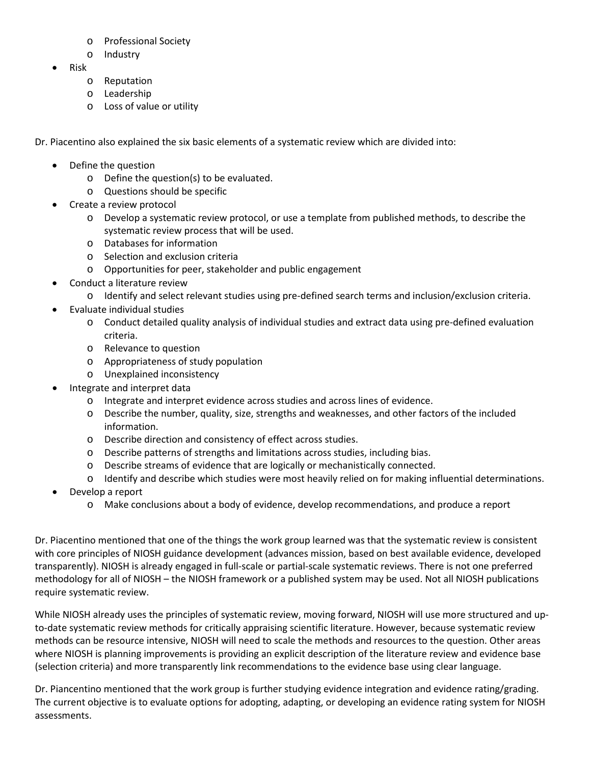- o Professional Society
- o Industry
- Risk
	- o Reputation
	- o Leadership
	- o Loss of value or utility

Dr. Piacentino also explained the six basic elements of a systematic review which are divided into:

- Define the question
	- o Define the question(s) to be evaluated.
	- o Questions should be specific
- Create a review protocol
	- o Develop a systematic review protocol, or use a template from published methods, to describe the systematic review process that will be used.
	- o Databases for information
	- o Selection and exclusion criteria
	- o Opportunities for peer, stakeholder and public engagement
- Conduct a literature review
	- o Identify and select relevant studies using pre-defined search terms and inclusion/exclusion criteria.
	- Evaluate individual studies
		- o Conduct detailed quality analysis of individual studies and extract data using pre-defined evaluation criteria.
		- o Relevance to question
		- o Appropriateness of study population
		- o Unexplained inconsistency
- Integrate and interpret data
	- o Integrate and interpret evidence across studies and across lines of evidence.
	- o Describe the number, quality, size, strengths and weaknesses, and other factors of the included information.
	- o Describe direction and consistency of effect across studies.
	- o Describe patterns of strengths and limitations across studies, including bias.
	- o Describe streams of evidence that are logically or mechanistically connected.
	- o Identify and describe which studies were most heavily relied on for making influential determinations.
- Develop a report
	- o Make conclusions about a body of evidence, develop recommendations, and produce a report

Dr. Piacentino mentioned that one of the things the work group learned was that the systematic review is consistent with core principles of NIOSH guidance development (advances mission, based on best available evidence, developed transparently). NIOSH is already engaged in full-scale or partial-scale systematic reviews. There is not one preferred methodology for all of NIOSH – the NIOSH framework or a published system may be used. Not all NIOSH publications require systematic review.

While NIOSH already uses the principles of systematic review, moving forward, NIOSH will use more structured and upto-date systematic review methods for critically appraising scientific literature. However, because systematic review methods can be resource intensive, NIOSH will need to scale the methods and resources to the question. Other areas where NIOSH is planning improvements is providing an explicit description of the literature review and evidence base (selection criteria) and more transparently link recommendations to the evidence base using clear language.

Dr. Piancentino mentioned that the work group is further studying evidence integration and evidence rating/grading. The current objective is to evaluate options for adopting, adapting, or developing an evidence rating system for NIOSH assessments.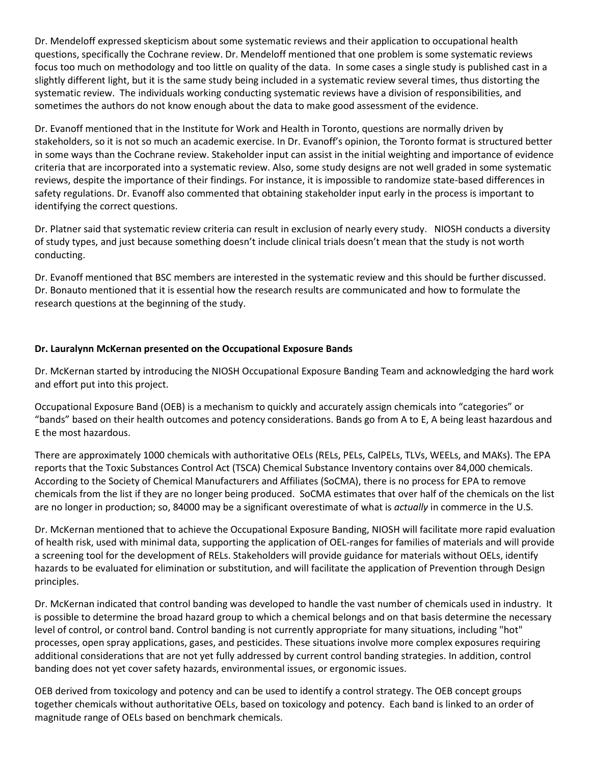Dr. Mendeloff expressed skepticism about some systematic reviews and their application to occupational health questions, specifically the Cochrane review. Dr. Mendeloff mentioned that one problem is some systematic reviews focus too much on methodology and too little on quality of the data. In some cases a single study is published cast in a slightly different light, but it is the same study being included in a systematic review several times, thus distorting the systematic review. The individuals working conducting systematic reviews have a division of responsibilities, and sometimes the authors do not know enough about the data to make good assessment of the evidence.

Dr. Evanoff mentioned that in the Institute for Work and Health in Toronto, questions are normally driven by stakeholders, so it is not so much an academic exercise. In Dr. Evanoff's opinion, the Toronto format is structured better in some ways than the Cochrane review. Stakeholder input can assist in the initial weighting and importance of evidence criteria that are incorporated into a systematic review. Also, some study designs are not well graded in some systematic reviews, despite the importance of their findings. For instance, it is impossible to randomize state-based differences in safety regulations. Dr. Evanoff also commented that obtaining stakeholder input early in the process is important to identifying the correct questions.

Dr. Platner said that systematic review criteria can result in exclusion of nearly every study. NIOSH conducts a diversity of study types, and just because something doesn't include clinical trials doesn't mean that the study is not worth conducting.

Dr. Evanoff mentioned that BSC members are interested in the systematic review and this should be further discussed. Dr. Bonauto mentioned that it is essential how the research results are communicated and how to formulate the research questions at the beginning of the study.

## **Dr. Lauralynn McKernan presented on the Occupational Exposure Bands**

Dr. McKernan started by introducing the NIOSH Occupational Exposure Banding Team and acknowledging the hard work and effort put into this project.

Occupational Exposure Band (OEB) is a mechanism to quickly and accurately assign chemicals into "categories" or "bands" based on their health outcomes and potency considerations. Bands go from A to E, A being least hazardous and E the most hazardous.

There are approximately 1000 chemicals with authoritative OELs (RELs, PELs, CalPELs, TLVs, WEELs, and MAKs). The EPA reports that the Toxic Substances Control Act (TSCA) Chemical Substance Inventory contains over 84,000 chemicals. According to the Society of Chemical Manufacturers and Affiliates (SoCMA), there is no process for EPA to remove chemicals from the list if they are no longer being produced. SoCMA estimates that over half of the chemicals on the list are no longer in production; so, 84000 may be a significant overestimate of what is *actually* in commerce in the U.S.

Dr. McKernan mentioned that to achieve the Occupational Exposure Banding, NIOSH will facilitate more rapid evaluation of health risk, used with minimal data, supporting the application of OEL-ranges for families of materials and will provide a screening tool for the development of RELs. Stakeholders will provide guidance for materials without OELs, identify hazards to be evaluated for elimination or substitution, and will facilitate the application of Prevention through Design principles.

Dr. McKernan indicated that control banding was developed to handle the vast number of chemicals used in industry. It is possible to determine the broad hazard group to which a chemical belongs and on that basis determine the necessary level of control, or control band. Control banding is not currently appropriate for many situations, including "hot" processes, open spray applications, gases, and pesticides. These situations involve more complex exposures requiring additional considerations that are not yet fully addressed by current control banding strategies. In addition, control banding does not yet cover safety hazards, environmental issues, or ergonomic issues.

OEB derived from toxicology and potency and can be used to identify a control strategy. The OEB concept groups together chemicals without authoritative OELs, based on toxicology and potency. Each band is linked to an order of magnitude range of OELs based on benchmark chemicals.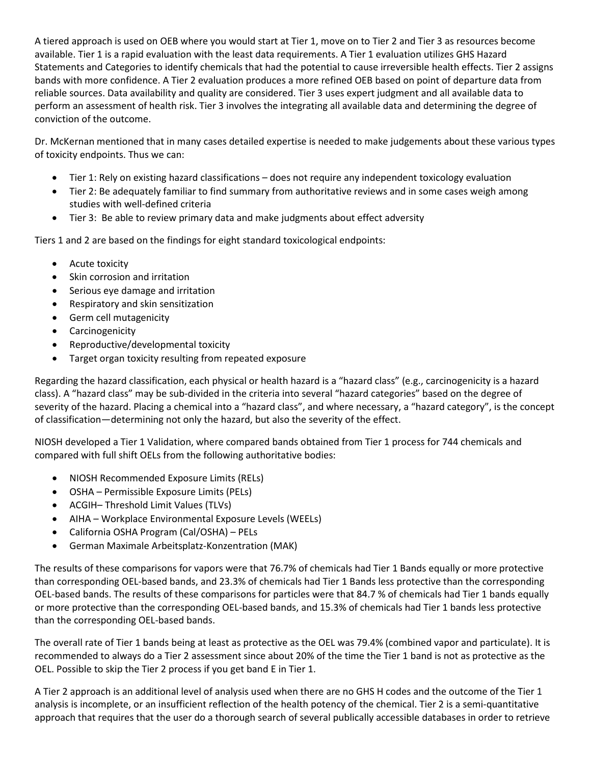A tiered approach is used on OEB where you would start at Tier 1, move on to Tier 2 and Tier 3 as resources become available. Tier 1 is a rapid evaluation with the least data requirements. A Tier 1 evaluation utilizes GHS Hazard Statements and Categories to identify chemicals that had the potential to cause irreversible health effects. Tier 2 assigns bands with more confidence. A Tier 2 evaluation produces a more refined OEB based on point of departure data from reliable sources. Data availability and quality are considered. Tier 3 uses expert judgment and all available data to perform an assessment of health risk. Tier 3 involves the integrating all available data and determining the degree of conviction of the outcome.

Dr. McKernan mentioned that in many cases detailed expertise is needed to make judgements about these various types of toxicity endpoints. Thus we can:

- Tier 1: Rely on existing hazard classifications does not require any independent toxicology evaluation
- Tier 2: Be adequately familiar to find summary from authoritative reviews and in some cases weigh among studies with well-defined criteria
- Tier 3: Be able to review primary data and make judgments about effect adversity

Tiers 1 and 2 are based on the findings for eight standard toxicological endpoints:

- Acute toxicity
- Skin corrosion and irritation
- Serious eye damage and irritation
- Respiratory and skin sensitization
- Germ cell mutagenicity
- Carcinogenicity
- Reproductive/developmental toxicity
- Target organ toxicity resulting from repeated exposure

Regarding the hazard classification, each physical or health hazard is a "hazard class" (e.g., carcinogenicity is a hazard class). A "hazard class" may be sub-divided in the criteria into several "hazard categories" based on the degree of severity of the hazard. Placing a chemical into a "hazard class", and where necessary, a "hazard category", is the concept of classification—determining not only the hazard, but also the severity of the effect.

NIOSH developed a Tier 1 Validation, where compared bands obtained from Tier 1 process for 744 chemicals and compared with full shift OELs from the following authoritative bodies:

- NIOSH Recommended Exposure Limits (RELs)
- OSHA Permissible Exposure Limits (PELs)
- ACGIH– Threshold Limit Values (TLVs)
- AIHA Workplace Environmental Exposure Levels (WEELs)
- California OSHA Program (Cal/OSHA) PELs
- German Maximale Arbeitsplatz-Konzentration (MAK)

The results of these comparisons for vapors were that 76.7% of chemicals had Tier 1 Bands equally or more protective than corresponding OEL-based bands, and 23.3% of chemicals had Tier 1 Bands less protective than the corresponding OEL-based bands. The results of these comparisons for particles were that 84.7 % of chemicals had Tier 1 bands equally or more protective than the corresponding OEL-based bands, and 15.3% of chemicals had Tier 1 bands less protective than the corresponding OEL-based bands.

The overall rate of Tier 1 bands being at least as protective as the OEL was 79.4% (combined vapor and particulate). It is recommended to always do a Tier 2 assessment since about 20% of the time the Tier 1 band is not as protective as the OEL. Possible to skip the Tier 2 process if you get band E in Tier 1.

A Tier 2 approach is an additional level of analysis used when there are no GHS H codes and the outcome of the Tier 1 analysis is incomplete, or an insufficient reflection of the health potency of the chemical. Tier 2 is a semi-quantitative approach that requires that the user do a thorough search of several publically accessible databases in order to retrieve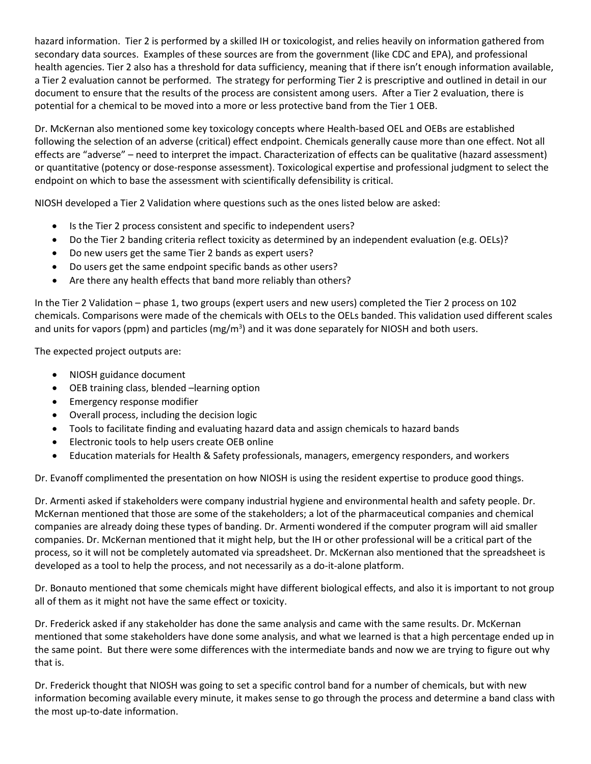hazard information. Tier 2 is performed by a skilled IH or toxicologist, and relies heavily on information gathered from secondary data sources. Examples of these sources are from the government (like CDC and EPA), and professional health agencies. Tier 2 also has a threshold for data sufficiency, meaning that if there isn't enough information available, a Tier 2 evaluation cannot be performed. The strategy for performing Tier 2 is prescriptive and outlined in detail in our document to ensure that the results of the process are consistent among users. After a Tier 2 evaluation, there is potential for a chemical to be moved into a more or less protective band from the Tier 1 OEB.

Dr. McKernan also mentioned some key toxicology concepts where Health-based OEL and OEBs are established following the selection of an adverse (critical) effect endpoint. Chemicals generally cause more than one effect. Not all effects are "adverse" – need to interpret the impact. Characterization of effects can be qualitative (hazard assessment) or quantitative (potency or dose-response assessment). Toxicological expertise and professional judgment to select the endpoint on which to base the assessment with scientifically defensibility is critical.

NIOSH developed a Tier 2 Validation where questions such as the ones listed below are asked:

- Is the Tier 2 process consistent and specific to independent users?
- Do the Tier 2 banding criteria reflect toxicity as determined by an independent evaluation (e.g. OELs)?
- Do new users get the same Tier 2 bands as expert users?
- Do users get the same endpoint specific bands as other users?
- Are there any health effects that band more reliably than others?

In the Tier 2 Validation – phase 1, two groups (expert users and new users) completed the Tier 2 process on 102 chemicals. Comparisons were made of the chemicals with OELs to the OELs banded. This validation used different scales and units for vapors (ppm) and particles (mg/m<sup>3</sup>) and it was done separately for NIOSH and both users.

The expected project outputs are:

- NIOSH guidance document
- OEB training class, blended –learning option
- Emergency response modifier
- Overall process, including the decision logic
- Tools to facilitate finding and evaluating hazard data and assign chemicals to hazard bands
- Electronic tools to help users create OEB online
- Education materials for Health & Safety professionals, managers, emergency responders, and workers

Dr. Evanoff complimented the presentation on how NIOSH is using the resident expertise to produce good things.

Dr. Armenti asked if stakeholders were company industrial hygiene and environmental health and safety people. Dr. McKernan mentioned that those are some of the stakeholders; a lot of the pharmaceutical companies and chemical companies are already doing these types of banding. Dr. Armenti wondered if the computer program will aid smaller companies. Dr. McKernan mentioned that it might help, but the IH or other professional will be a critical part of the process, so it will not be completely automated via spreadsheet. Dr. McKernan also mentioned that the spreadsheet is developed as a tool to help the process, and not necessarily as a do-it-alone platform.

Dr. Bonauto mentioned that some chemicals might have different biological effects, and also it is important to not group all of them as it might not have the same effect or toxicity.

Dr. Frederick asked if any stakeholder has done the same analysis and came with the same results. Dr. McKernan mentioned that some stakeholders have done some analysis, and what we learned is that a high percentage ended up in the same point. But there were some differences with the intermediate bands and now we are trying to figure out why that is.

Dr. Frederick thought that NIOSH was going to set a specific control band for a number of chemicals, but with new information becoming available every minute, it makes sense to go through the process and determine a band class with the most up-to-date information.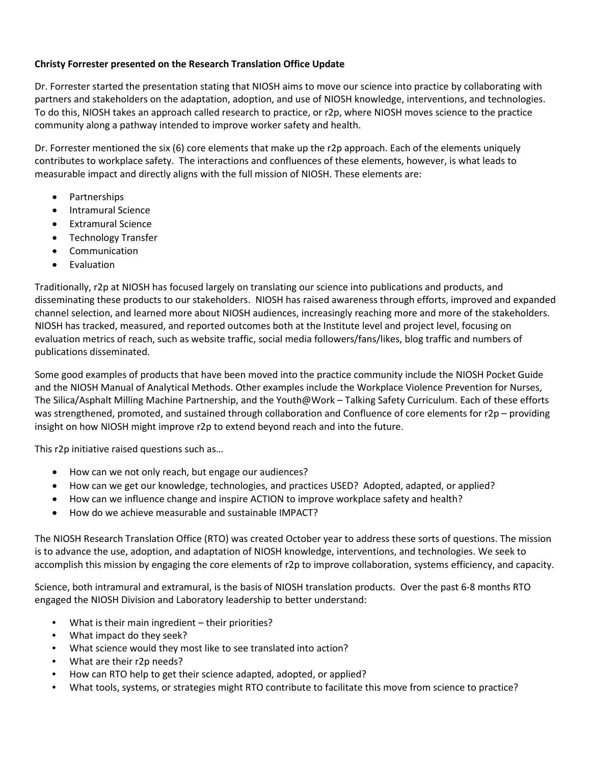## **Christy Forrester presented on the Research Translation Office Update**

Dr. Forrester started the presentation stating that NIOSH aims to move our science into practice by collaborating with partners and stakeholders on the adaptation, adoption, and use of NIOSH knowledge, interventions, and technologies. To do this, NIOSH takes an approach called research to practice, or r2p, where NIOSH moves science to the practice community along a pathway intended to improve worker safety and health.

Dr. Forrester mentioned the six (6) core elements that make up the r2p approach. Each of the elements uniquely contributes to workplace safety. The interactions and confluences of these elements, however, is what leads to measurable impact and directly aligns with the full mission of NIOSH. These elements are:

- Partnerships
- Intramural Science
- Extramural Science
- Technology Transfer
- Communication
- **Evaluation**

Traditionally, r2p at NIOSH has focused largely on translating our science into publications and products, and disseminating these products to our stakeholders. NIOSH has raised awareness through efforts, improved and expanded channel selection, and learned more about NIOSH audiences, increasingly reaching more and more of the stakeholders. NIOSH has tracked, measured, and reported outcomes both at the Institute level and project level, focusing on evaluation metrics of reach, such as website traffic, social media followers/fans/likes, blog traffic and numbers of publications disseminated.

Some good examples of products that have been moved into the practice community include the NIOSH Pocket Guide and the NIOSH Manual of Analytical Methods. Other examples include the Workplace Violence Prevention for Nurses, The Silica/Asphalt Milling Machine Partnership, and the Youth@Work – Talking Safety Curriculum. Each of these efforts was strengthened, promoted, and sustained through collaboration and Confluence of core elements for r2p – providing insight on how NIOSH might improve r2p to extend beyond reach and into the future.

This r2p initiative raised questions such as…

- How can we not only reach, but engage our audiences?
- How can we get our knowledge, technologies, and practices USED? Adopted, adapted, or applied?
- How can we influence change and inspire ACTION to improve workplace safety and health?
- How do we achieve measurable and sustainable IMPACT?

The NIOSH Research Translation Office (RTO) was created October year to address these sorts of questions. The mission is to advance the use, adoption, and adaptation of NIOSH knowledge, interventions, and technologies. We seek to accomplish this mission by engaging the core elements of r2p to improve collaboration, systems efficiency, and capacity.

Science, both intramural and extramural, is the basis of NIOSH translation products. Over the past 6-8 months RTO engaged the NIOSH Division and Laboratory leadership to better understand:

- What is their main ingredient their priorities?
- What impact do they seek?
- What science would they most like to see translated into action?
- What are their r2p needs?
- How can RTO help to get their science adapted, adopted, or applied?
- What tools, systems, or strategies might RTO contribute to facilitate this move from science to practice?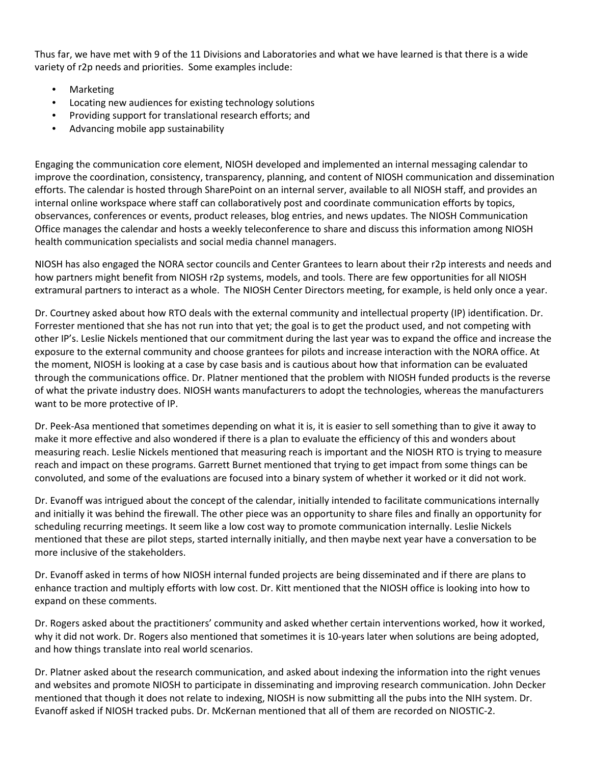Thus far, we have met with 9 of the 11 Divisions and Laboratories and what we have learned is that there is a wide variety of r2p needs and priorities. Some examples include:

- Marketing
- Locating new audiences for existing technology solutions
- Providing support for translational research efforts; and
- Advancing mobile app sustainability

Engaging the communication core element, NIOSH developed and implemented an internal messaging calendar to improve the coordination, consistency, transparency, planning, and content of NIOSH communication and dissemination efforts. The calendar is hosted through SharePoint on an internal server, available to all NIOSH staff, and provides an internal online workspace where staff can collaboratively post and coordinate communication efforts by topics, observances, conferences or events, product releases, blog entries, and news updates. The NIOSH Communication Office manages the calendar and hosts a weekly teleconference to share and discuss this information among NIOSH health communication specialists and social media channel managers.

NIOSH has also engaged the NORA sector councils and Center Grantees to learn about their r2p interests and needs and how partners might benefit from NIOSH r2p systems, models, and tools. There are few opportunities for all NIOSH extramural partners to interact as a whole. The NIOSH Center Directors meeting, for example, is held only once a year.

Dr. Courtney asked about how RTO deals with the external community and intellectual property (IP) identification. Dr. Forrester mentioned that she has not run into that yet; the goal is to get the product used, and not competing with other IP's. Leslie Nickels mentioned that our commitment during the last year was to expand the office and increase the exposure to the external community and choose grantees for pilots and increase interaction with the NORA office. At the moment, NIOSH is looking at a case by case basis and is cautious about how that information can be evaluated through the communications office. Dr. Platner mentioned that the problem with NIOSH funded products is the reverse of what the private industry does. NIOSH wants manufacturers to adopt the technologies, whereas the manufacturers want to be more protective of IP.

Dr. Peek-Asa mentioned that sometimes depending on what it is, it is easier to sell something than to give it away to make it more effective and also wondered if there is a plan to evaluate the efficiency of this and wonders about measuring reach. Leslie Nickels mentioned that measuring reach is important and the NIOSH RTO is trying to measure reach and impact on these programs. Garrett Burnet mentioned that trying to get impact from some things can be convoluted, and some of the evaluations are focused into a binary system of whether it worked or it did not work.

Dr. Evanoff was intrigued about the concept of the calendar, initially intended to facilitate communications internally and initially it was behind the firewall. The other piece was an opportunity to share files and finally an opportunity for scheduling recurring meetings. It seem like a low cost way to promote communication internally. Leslie Nickels mentioned that these are pilot steps, started internally initially, and then maybe next year have a conversation to be more inclusive of the stakeholders.

Dr. Evanoff asked in terms of how NIOSH internal funded projects are being disseminated and if there are plans to enhance traction and multiply efforts with low cost. Dr. Kitt mentioned that the NIOSH office is looking into how to expand on these comments.

Dr. Rogers asked about the practitioners' community and asked whether certain interventions worked, how it worked, why it did not work. Dr. Rogers also mentioned that sometimes it is 10-years later when solutions are being adopted, and how things translate into real world scenarios.

Dr. Platner asked about the research communication, and asked about indexing the information into the right venues and websites and promote NIOSH to participate in disseminating and improving research communication. John Decker mentioned that though it does not relate to indexing, NIOSH is now submitting all the pubs into the NIH system. Dr. Evanoff asked if NIOSH tracked pubs. Dr. McKernan mentioned that all of them are recorded on NIOSTIC-2.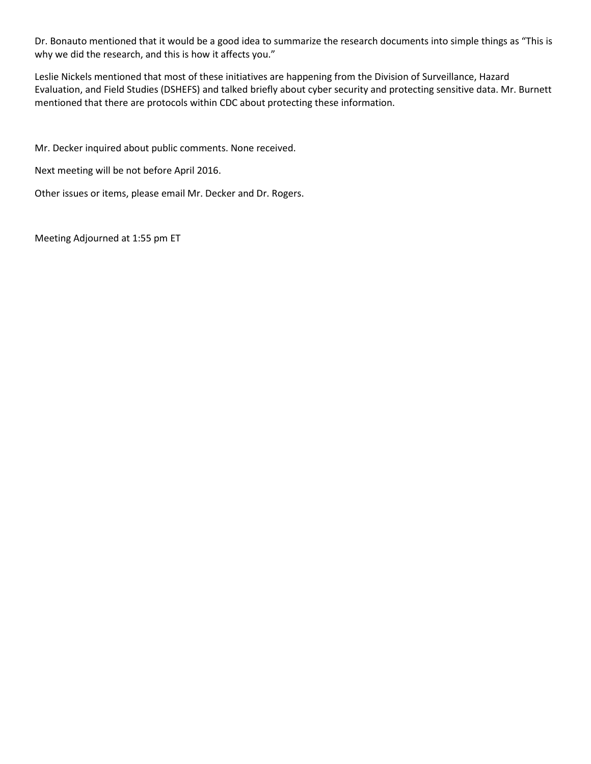Dr. Bonauto mentioned that it would be a good idea to summarize the research documents into simple things as "This is why we did the research, and this is how it affects you."

Leslie Nickels mentioned that most of these initiatives are happening from the Division of Surveillance, Hazard Evaluation, and Field Studies (DSHEFS) and talked briefly about cyber security and protecting sensitive data. Mr. Burnett mentioned that there are protocols within CDC about protecting these information.

Mr. Decker inquired about public comments. None received.

Next meeting will be not before April 2016.

Other issues or items, please email Mr. Decker and Dr. Rogers.

Meeting Adjourned at 1:55 pm ET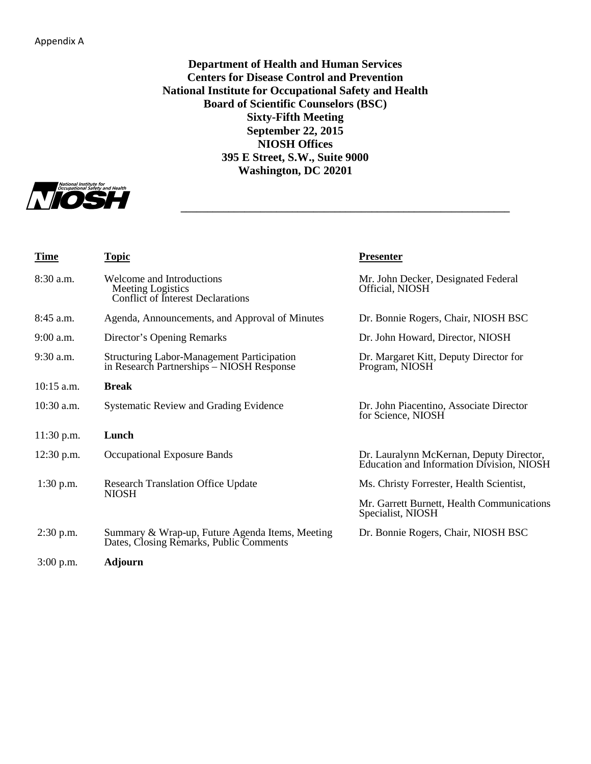**Department of Health and Human Services Centers for Disease Control and Prevention National Institute for Occupational Safety and Health Board of Scientific Counselors (BSC) Sixty-Fifth Meeting September 22, 2015 NIOSH Offices 395 E Street, S.W., Suite 9000 Washington, DC 20201**

**\_\_\_\_\_\_\_\_\_\_\_\_\_\_\_\_\_\_\_\_\_\_\_\_\_\_\_\_\_\_\_\_\_\_\_\_\_\_\_\_\_\_\_\_\_\_\_\_\_\_\_\_\_\_\_\_\_\_\_\_\_\_**



| <b>Time</b>  | <b>Topic</b>                                                                                   | <b>Presenter</b>                                                                      |
|--------------|------------------------------------------------------------------------------------------------|---------------------------------------------------------------------------------------|
| $8:30$ a.m.  | Welcome and Introductions<br>Meeting Logistics<br>Conflict of Interest Declarations            | Mr. John Decker, Designated Federal<br>Official, NIOSH                                |
| $8:45$ a.m.  | Agenda, Announcements, and Approval of Minutes                                                 | Dr. Bonnie Rogers, Chair, NIOSH BSC                                                   |
| $9:00$ a.m.  | Director's Opening Remarks                                                                     | Dr. John Howard, Director, NIOSH                                                      |
| $9:30$ a.m.  | <b>Structuring Labor-Management Participation</b><br>in Research Partnerships - NIOSH Response | Dr. Margaret Kitt, Deputy Director for<br>Program, NIOSH                              |
| $10:15$ a.m. | <b>Break</b>                                                                                   |                                                                                       |
| $10:30$ a.m. | <b>Systematic Review and Grading Evidence</b>                                                  | Dr. John Piacentino, Associate Director<br>for Science, NIOSH                         |
| $11:30$ p.m. | Lunch                                                                                          |                                                                                       |
| $12:30$ p.m. | Occupational Exposure Bands                                                                    | Dr. Lauralynn McKernan, Deputy Director,<br>Education and Information Division, NIOSH |
| $1:30$ p.m.  | <b>Research Translation Office Update</b><br><b>NIOSH</b>                                      | Ms. Christy Forrester, Health Scientist,                                              |
|              |                                                                                                | Mr. Garrett Burnett, Health Communications<br>Specialist, NIOSH                       |
| $2:30$ p.m.  | Summary & Wrap-up, Future Agenda Items, Meeting<br>Dates, Closing Remarks, Public Comments     | Dr. Bonnie Rogers, Chair, NIOSH BSC                                                   |
| $3:00$ p.m.  | <b>Adjourn</b>                                                                                 |                                                                                       |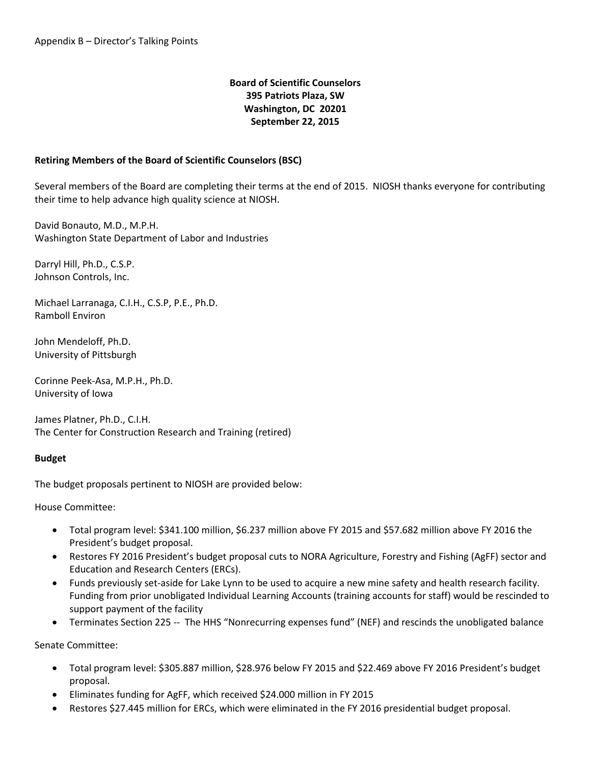## **Board of Scientific Counselors 395 Patriots Plaza, SW Washington, DC 20201 September 22, 2015**

#### **Retiring Members of the Board of Scientific Counselors (BSC)**

Several members of the Board are completing their terms at the end of 2015. NIOSH thanks everyone for contributing their time to help advance high quality science at NIOSH.

David Bonauto, M.D., M.P.H. Washington State Department of Labor and Industries

Darryl Hill, Ph.D., C.S.P. Johnson Controls, Inc.

Michael Larranaga, C.I.H., C.S.P, P.E., Ph.D. Ramboll Environ

John Mendeloff, Ph.D. University of Pittsburgh

Corinne Peek-Asa, M.P.H., Ph.D. University of Iowa

James Platner, Ph.D., C.I.H. The Center for Construction Research and Training (retired)

#### **Budget**

The budget proposals pertinent to NIOSH are provided below:

House Committee:

- Total program level: \$341.100 million, \$6.237 million above FY 2015 and \$57.682 million above FY 2016 the President's budget proposal.
- Restores FY 2016 President's budget proposal cuts to NORA Agriculture, Forestry and Fishing (AgFF) sector and Education and Research Centers (ERCs).
- Funds previously set-aside for Lake Lynn to be used to acquire a new mine safety and health research facility. Funding from prior unobligated Individual Learning Accounts (training accounts for staff) would be rescinded to support payment of the facility
- Terminates Section 225 -- The HHS "Nonrecurring expenses fund" (NEF) and rescinds the unobligated balance

Senate Committee:

- Total program level: \$305.887 million, \$28.976 below FY 2015 and \$22.469 above FY 2016 President's budget proposal.
- Eliminates funding for AgFF, which received \$24.000 million in FY 2015
- Restores \$27.445 million for ERCs, which were eliminated in the FY 2016 presidential budget proposal.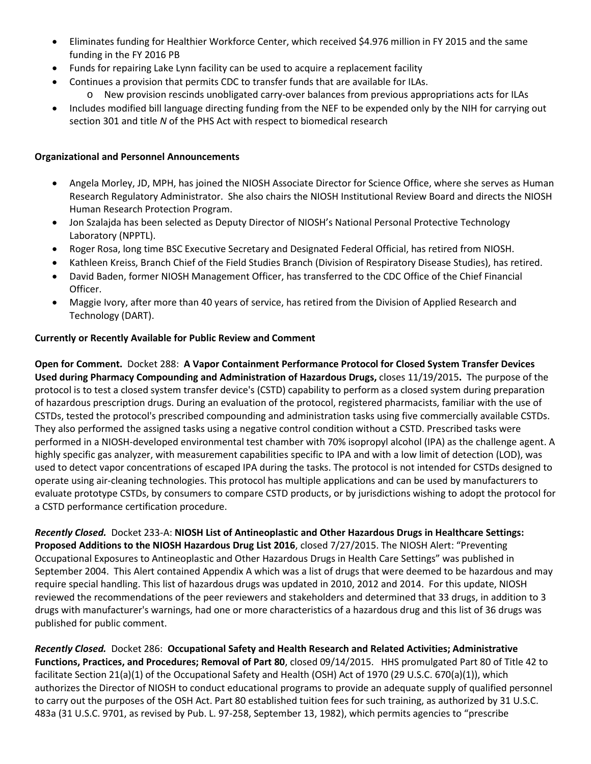- Eliminates funding for Healthier Workforce Center, which received \$4.976 million in FY 2015 and the same funding in the FY 2016 PB
- Funds for repairing Lake Lynn facility can be used to acquire a replacement facility
- Continues a provision that permits CDC to transfer funds that are available for ILAs.
	- o New provision rescinds unobligated carry-over balances from previous appropriations acts for ILAs
- Includes modified bill language directing funding from the NEF to be expended only by the NIH for carrying out section 301 and title *N* of the PHS Act with respect to biomedical research

## **Organizational and Personnel Announcements**

- Angela Morley, JD, MPH, has joined the NIOSH Associate Director for Science Office, where she serves as Human Research Regulatory Administrator. She also chairs the NIOSH Institutional Review Board and directs the NIOSH Human Research Protection Program.
- Jon Szalajda has been selected as Deputy Director of NIOSH's National Personal Protective Technology Laboratory (NPPTL).
- Roger Rosa, long time BSC Executive Secretary and Designated Federal Official, has retired from NIOSH.
- Kathleen Kreiss, Branch Chief of the Field Studies Branch (Division of Respiratory Disease Studies), has retired.
- David Baden, former NIOSH Management Officer, has transferred to the CDC Office of the Chief Financial Officer.
- Maggie Ivory, after more than 40 years of service, has retired from the Division of Applied Research and Technology (DART).

## **Currently or Recently Available for Public Review and Comment**

**Open for Comment.** Docket 288: **A Vapor Containment Performance Protocol for Closed System Transfer Devices Used during Pharmacy Compounding and Administration of Hazardous Drugs,** closes 11/19/2015**.** The purpose of the protocol is to test a closed system transfer device's (CSTD) capability to perform as a closed system during preparation of hazardous prescription drugs. During an evaluation of the protocol, registered pharmacists, familiar with the use of CSTDs, tested the protocol's prescribed compounding and administration tasks using five commercially available CSTDs. They also performed the assigned tasks using a negative control condition without a CSTD. Prescribed tasks were performed in a NIOSH-developed environmental test chamber with 70% isopropyl alcohol (IPA) as the challenge agent. A highly specific gas analyzer, with measurement capabilities specific to IPA and with a low limit of detection (LOD), was used to detect vapor concentrations of escaped IPA during the tasks. The protocol is not intended for CSTDs designed to operate using air-cleaning technologies. This protocol has multiple applications and can be used by manufacturers to evaluate prototype CSTDs, by consumers to compare CSTD products, or by jurisdictions wishing to adopt the protocol for a CSTD performance certification procedure.

*Recently Closed.* Docket 233-A: **NIOSH List of Antineoplastic and Other Hazardous Drugs in Healthcare Settings: Proposed Additions to the NIOSH Hazardous Drug List 2016**, closed 7/27/2015. The NIOSH Alert: "Preventing Occupational Exposures to Antineoplastic and Other Hazardous Drugs in Health Care Settings" was published in September 2004. This Alert contained Appendix A which was a list of drugs that were deemed to be hazardous and may require special handling. This list of hazardous drugs was updated in 2010, 2012 and 2014. For this update, NIOSH reviewed the recommendations of the peer reviewers and stakeholders and determined that 33 drugs, in addition to 3 drugs with manufacturer's warnings, had one or more characteristics of a hazardous drug and this list of 36 drugs was published for public comment.

*Recently Closed.* Docket 286: **Occupational Safety and Health Research and Related Activities; Administrative Functions, Practices, and Procedures; Removal of Part 80**, closed 09/14/2015. HHS promulgated Part 80 of Title 42 to facilitate Section 21(a)(1) of the Occupational Safety and Health (OSH) Act of 1970 (29 U.S.C. 670(a)(1)), which authorizes the Director of NIOSH to conduct educational programs to provide an adequate supply of qualified personnel to carry out the purposes of the OSH Act. Part 80 established tuition fees for such training, as authorized by 31 U.S.C. 483a (31 U.S.C. 9701, as revised by Pub. L. 97-258, September 13, 1982), which permits agencies to "prescribe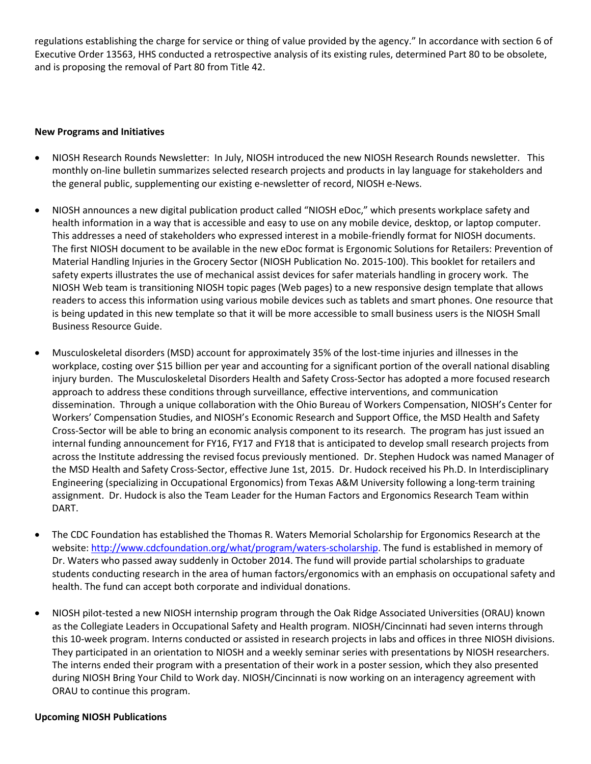regulations establishing the charge for service or thing of value provided by the agency." In accordance with section 6 of Executive Order 13563, HHS conducted a retrospective analysis of its existing rules, determined Part 80 to be obsolete, and is proposing the removal of Part 80 from Title 42.

#### **New Programs and Initiatives**

- NIOSH Research Rounds Newsletter: In July, NIOSH introduced the new NIOSH Research Rounds newsletter. This monthly on-line bulletin summarizes selected research projects and products in lay language for stakeholders and the general public, supplementing our existing e-newsletter of record, NIOSH e-News.
- NIOSH announces a new digital publication product called "NIOSH eDoc," which presents workplace safety and health information in a way that is accessible and easy to use on any mobile device, desktop, or laptop computer. This addresses a need of stakeholders who expressed interest in a mobile-friendly format for NIOSH documents. The first NIOSH document to be available in the new eDoc format is Ergonomic Solutions for Retailers: Prevention of Material Handling Injuries in the Grocery Sector (NIOSH Publication No. 2015-100). This booklet for retailers and safety experts illustrates the use of mechanical assist devices for safer materials handling in grocery work. The NIOSH Web team is transitioning NIOSH topic pages (Web pages) to a new responsive design template that allows readers to access this information using various mobile devices such as tablets and smart phones. One resource that is being updated in this new template so that it will be more accessible to small business users is the NIOSH Small Business Resource Guide.
- Musculoskeletal disorders (MSD) account for approximately 35% of the lost-time injuries and illnesses in the workplace, costing over \$15 billion per year and accounting for a significant portion of the overall national disabling injury burden. The Musculoskeletal Disorders Health and Safety Cross-Sector has adopted a more focused research approach to address these conditions through surveillance, effective interventions, and communication dissemination. Through a unique collaboration with the Ohio Bureau of Workers Compensation, NIOSH's Center for Workers' Compensation Studies, and NIOSH's Economic Research and Support Office, the MSD Health and Safety Cross-Sector will be able to bring an economic analysis component to its research. The program has just issued an internal funding announcement for FY16, FY17 and FY18 that is anticipated to develop small research projects from across the Institute addressing the revised focus previously mentioned. Dr. Stephen Hudock was named Manager of the MSD Health and Safety Cross-Sector, effective June 1st, 2015. Dr. Hudock received his Ph.D. In Interdisciplinary Engineering (specializing in Occupational Ergonomics) from Texas A&M University following a long-term training assignment. Dr. Hudock is also the Team Leader for the Human Factors and Ergonomics Research Team within DART.
- The CDC Foundation has established the Thomas R. Waters Memorial Scholarship for Ergonomics Research at the website[: http://www.cdcfoundation.org/what/program/waters-scholarship.](http://www.cdcfoundation.org/what/program/waters-scholarship) The fund is established in memory of Dr. Waters who passed away suddenly in October 2014. The fund will provide partial scholarships to graduate students conducting research in the area of human factors/ergonomics with an emphasis on occupational safety and health. The fund can accept both corporate and individual donations.
- NIOSH pilot-tested a new NIOSH internship program through the Oak Ridge Associated Universities (ORAU) known as the Collegiate Leaders in Occupational Safety and Health program. NIOSH/Cincinnati had seven interns through this 10-week program. Interns conducted or assisted in research projects in labs and offices in three NIOSH divisions. They participated in an orientation to NIOSH and a weekly seminar series with presentations by NIOSH researchers. The interns ended their program with a presentation of their work in a poster session, which they also presented during NIOSH Bring Your Child to Work day. NIOSH/Cincinnati is now working on an interagency agreement with ORAU to continue this program.

#### **Upcoming NIOSH Publications**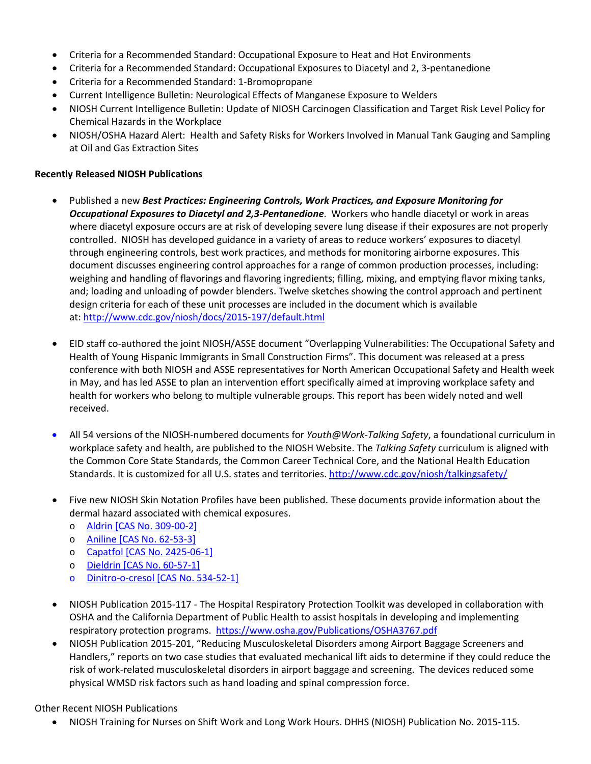- Criteria for a Recommended Standard: Occupational Exposure to Heat and Hot Environments
- Criteria for a Recommended Standard: Occupational Exposures to Diacetyl and 2, 3-pentanedione
- Criteria for a Recommended Standard: 1-Bromopropane
- Current Intelligence Bulletin: Neurological Effects of Manganese Exposure to Welders
- NIOSH Current Intelligence Bulletin: Update of NIOSH Carcinogen Classification and Target Risk Level Policy for Chemical Hazards in the Workplace
- NIOSH/OSHA Hazard Alert: Health and Safety Risks for Workers Involved in Manual Tank Gauging and Sampling at Oil and Gas Extraction Sites

#### **Recently Released NIOSH Publications**

- Published a new *Best Practices: Engineering Controls, Work Practices, and Exposure Monitoring for Occupational Exposures to Diacetyl and 2,3-Pentanedione*. Workers who handle diacetyl or work in areas where diacetyl exposure occurs are at risk of developing severe lung disease if their exposures are not properly controlled. NIOSH has developed guidance in a variety of areas to reduce workers' exposures to diacetyl through engineering controls, best work practices, and methods for monitoring airborne exposures. This document discusses engineering control approaches for a range of common production processes, including: weighing and handling of flavorings and flavoring ingredients; filling, mixing, and emptying flavor mixing tanks, and; loading and unloading of powder blenders. Twelve sketches showing the control approach and pertinent design criteria for each of these unit processes are included in the document which is available at:<http://www.cdc.gov/niosh/docs/2015-197/default.html>
- EID staff co-authored the joint NIOSH/ASSE document "Overlapping Vulnerabilities: The Occupational Safety and Health of Young Hispanic Immigrants in Small Construction Firms". This document was released at a press conference with both NIOSH and ASSE representatives for North American Occupational Safety and Health week in May, and has led ASSE to plan an intervention effort specifically aimed at improving workplace safety and health for workers who belong to multiple vulnerable groups. This report has been widely noted and well received.
- All 54 versions of the NIOSH-numbered documents for *Youth@Work-Talking Safety*, a foundational curriculum in workplace safety and health, are published to the NIOSH Website. The *Talking Safety* curriculum is aligned with the Common Core State Standards, the Common Career Technical Core, and the National Health Education Standards. It is customized for all U.S. states and territories.<http://www.cdc.gov/niosh/talkingsafety/>
- Five new NIOSH Skin Notation Profiles have been published. These documents provide information about the dermal hazard associated with chemical exposures.
	- o [Aldrin \[CAS No. 309-00-2\]](http://www.cdc.gov/niosh/docs/2015-191/)
	- o [Aniline \[CAS No. 62-53-3\]](http://www.cdc.gov/niosh/docs/2015-192/)
	- o [Capatfol \[CAS No. 2425-06-1\]](http://www.cdc.gov/niosh/docs/2015-193/)
	- o [Dieldrin \[CAS No. 60-57-1\]](http://www.cdc.gov/niosh/docs/2015-194/)
	- o [Dinitro-o-cresol \[CAS No. 534-52-1\]](http://www.cdc.gov/niosh/docs/2015-195/)
- NIOSH Publication 2015-117 The Hospital Respiratory Protection Toolkit was developed in collaboration with OSHA and the California Department of Public Health to assist hospitals in developing and implementing respiratory protection programs. <https://www.osha.gov/Publications/OSHA3767.pdf>
- NIOSH Publication 2015-201, "Reducing Musculoskeletal Disorders among Airport Baggage Screeners and Handlers," reports on two case studies that evaluated mechanical lift aids to determine if they could reduce the risk of work-related musculoskeletal disorders in airport baggage and screening. The devices reduced some physical WMSD risk factors such as hand loading and spinal compression force.

#### Other Recent NIOSH Publications

• NIOSH Training for Nurses on Shift Work and Long Work Hours. DHHS (NIOSH) Publication No. 2015-115.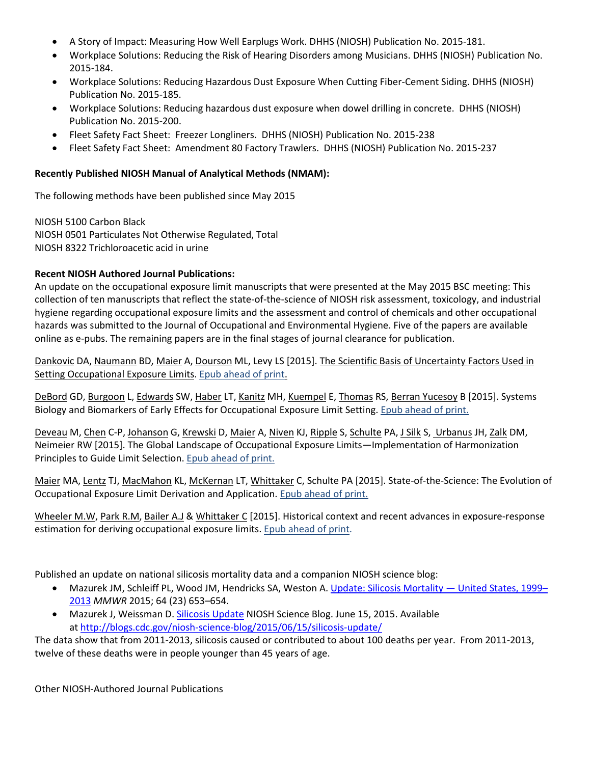- A Story of Impact: Measuring How Well Earplugs Work. DHHS (NIOSH) Publication No. 2015-181.
- Workplace Solutions: Reducing the Risk of Hearing Disorders among Musicians. DHHS (NIOSH) Publication No. 2015-184.
- Workplace Solutions: Reducing Hazardous Dust Exposure When Cutting Fiber-Cement Siding. DHHS (NIOSH) Publication No. 2015-185.
- Workplace Solutions: Reducing hazardous dust exposure when dowel drilling in concrete. DHHS (NIOSH) Publication No. 2015-200.
- Fleet Safety Fact Sheet: Freezer Longliners. DHHS (NIOSH) Publication No. 2015-238
- Fleet Safety Fact Sheet: Amendment 80 Factory Trawlers. DHHS (NIOSH) Publication No. 2015-237

#### **Recently Published NIOSH Manual of Analytical Methods (NMAM):**

The following methods have been published since May 2015

NIOSH 5100 Carbon Black NIOSH 0501 Particulates Not Otherwise Regulated, Total NIOSH 8322 Trichloroacetic acid in urine

#### **Recent NIOSH Authored Journal Publications:**

An update on the occupational exposure limit manuscripts that were presented at the May 2015 BSC meeting: This collection of ten manuscripts that reflect the state-of-the-science of NIOSH risk assessment, toxicology, and industrial hygiene regarding occupational exposure limits and the assessment and control of chemicals and other occupational hazards was submitted to the Journal of Occupational and Environmental Hygiene. Five of the papers are available online as e-pubs. The remaining papers are in the final stages of journal clearance for publication.

[Dankovic](http://www.tandfonline.com/action/doSearch?Contrib=Dankovic%2C+D) DA[, Naumann](http://www.tandfonline.com/action/doSearch?Contrib=Naumann%2C+B) BD, [Maier](http://www.tandfonline.com/action/doSearch?Contrib=Maier%2C+A) A[, Dourson](http://www.tandfonline.com/action/doSearch?Contrib=Dourson%2C+M) ML, Levy LS [2015]. [The Scientific Basis of Uncertainty Factors Used in](http://www.tandfonline.com/doi/full/10.1080/15459624.2015.1060325#abstract)  [Setting Occupational Exposure Limits.](http://www.tandfonline.com/doi/full/10.1080/15459624.2015.1060325#abstract) [Epub ahead of print.](http://www2.cdc.gov/nioshtic-2/BuildQyr.asp?s1=20046355+&f1=*&Adv=0&terms=1&View=b&n=new&Startyear=&D1=10&EndYear=&Limit=10000&sort=)

[DeBord](http://www.tandfonline.com/action/doSearch?Contrib=DeBord%2C+D+G) GD, [Burgoon](http://www.tandfonline.com/action/doSearch?Contrib=Burgoon%2C+L) L[, Edwards](http://www.tandfonline.com/action/doSearch?Contrib=Edwards%2C+S+W) SW, [Haber](http://www.tandfonline.com/action/doSearch?Contrib=Haber%2C+L+T) LT, [Kanitz](http://www.tandfonline.com/action/doSearch?Contrib=Kanitz%2C+M+H) MH[, Kuempel](http://www.tandfonline.com/action/doSearch?Contrib=Kuempel%2C+E) E, [Thomas](http://www.tandfonline.com/action/doSearch?Contrib=Thomas%2C+R+S) RS, [Berran Yucesoy](http://www.tandfonline.com/action/doSearch?Contrib=Yucesoy%2C+B) B [2015]. Systems Biology and Biomarkers of Early Effects for Occupational Exposure Limit Setting[. Epub ahead of print.](http://www2.cdc.gov/nioshtic-2/BuildQyr.asp?s1=20046383&f1=*&Adv=0&terms=1&View=b&n=new&Startyear=&D1=10&EndYear=&Limit=10000&sort=)

[Deveau](http://www.tandfonline.com/action/doSearch?Contrib=Deveau%2C+M) M, [Chen](http://www.tandfonline.com/action/doSearch?Contrib=Chen%2C+C+%5C-) C-P[, Johanson](http://www.tandfonline.com/action/doSearch?Contrib=Johanson%2C+G) G, [Krewski](http://www.tandfonline.com/action/doSearch?Contrib=Krewski%2C+D) D, [Maier](http://www.tandfonline.com/action/doSearch?Contrib=Maier%2C+A) A, [Niven](http://www.tandfonline.com/action/doSearch?Contrib=Niven%2C+K+J) KJ[, Ripple](http://www.tandfonline.com/action/doSearch?Contrib=Ripple%2C+S) S, [Schulte](http://www.tandfonline.com/action/doSearch?Contrib=Schulte%2C+P+A) PA, [J Silk](http://www.tandfonline.com/action/doSearch?Contrib=Silk%2C+J) S, [Urbanus](http://www.tandfonline.com/action/doSearch?Contrib=Urbanus%2C+J+H) JH, [Zalk](http://www.tandfonline.com/action/doSearch?Contrib=Zalk%2C+D+M) DM, Neimeier RW [2015]. The Global Landscape of Occupational Exposure Limits—Implementation of Harmonization Principles to Guide Limit Selection[. Epub ahead of print.](http://www2.cdc.gov/nioshtic-2/BuildQyr.asp?s1=deveau&f1=%2A&Startyear=&Adv=0&terms=1&D1=10&EndYear=&Limit=10000&sort=&PageNo=1&RecNo=1&View=f&)

[Maier](http://www.tandfonline.com/action/doSearch?Contrib=Maier%2C+M) MA, [Lentz](http://www.tandfonline.com/action/doSearch?Contrib=Lentz%2C+T) TJ[, MacMahon](http://www.tandfonline.com/action/doSearch?Contrib=MacMahon%2C+K) KL, [McKernan](http://www.tandfonline.com/action/doSearch?Contrib=McKernan%2C+L) LT[, Whittaker](http://www.tandfonline.com/action/doSearch?Contrib=Whittaker%2C+C) C, Schulte PA [2015]. State-of-the-Science: The Evolution of Occupational Exposure Limit Derivation and Application. [Epub ahead of print.](http://www2.cdc.gov/nioshtic-2/BuildQyr.asp?s1=20046372&f1=*&Adv=0&terms=1&View=b&n=new&Startyear=&D1=10&EndYear=&Limit=10000&sort=)

[Wheeler M.W,](http://www.tandfonline.com/action/doSearch?Contrib=M.W%2C+W) [Park R.M,](http://www.tandfonline.com/action/doSearch?Contrib=R.M%2C+P) [Bailer A.J](http://www.tandfonline.com/action/doSearch?Contrib=A.J%2C+B) & [Whittaker C](http://www.tandfonline.com/action/doSearch?Contrib=C%2C+W) [2015]. Historical context and recent advances in exposure-response estimation for deriving occupational exposure limits. Epub [ahead of print.](http://www2.cdc.gov/nioshtic-2/BuildQyr.asp?s1=20046569&f1=*&Adv=0&terms=1&View=b&n=new&Startyear=&D1=10&EndYear=&Limit=10000&sort=)

Published an update on national silicosis mortality data and a companion NIOSH science blog:

- Mazurek JM, Schleiff PL, Wood JM, Hendricks SA, Weston A[. Update: Silicosis Mortality —](http://www.cdc.gov/mmwr/preview/mmwrhtml/mm6423a7.htm?s_cid=mm6423a7_w) United States, 1999– [2013](http://www.cdc.gov/mmwr/preview/mmwrhtml/mm6423a7.htm?s_cid=mm6423a7_w) *MMWR* 2015; 64 (23) 653–654.
- Mazurek J, Weissman D. [Silicosis Update](http://blogs.cdc.gov/niosh-science-blog/2015/06/15/silicosis-update/) NIOSH Science Blog. June 15, 2015. Available at<http://blogs.cdc.gov/niosh-science-blog/2015/06/15/silicosis-update/>

The data show that from 2011-2013, silicosis caused or contributed to about 100 deaths per year. From 2011-2013, twelve of these deaths were in people younger than 45 years of age.

Other NIOSH-Authored Journal Publications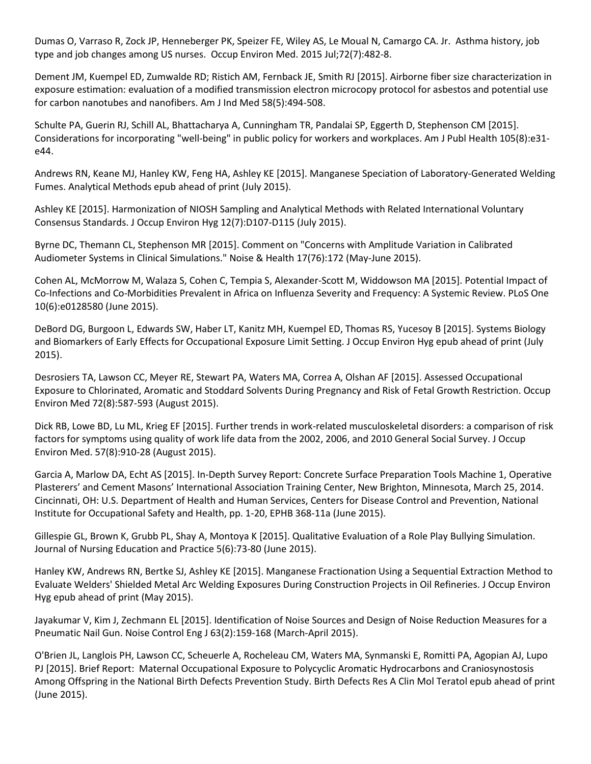Dumas O, Varraso R, Zock JP, Henneberger PK, Speizer FE, Wiley AS, Le Moual N, Camargo CA. Jr. Asthma history, job type and job changes among US nurses. Occup Environ Med. 2015 Jul;72(7):482-8.

Dement JM, Kuempel ED, Zumwalde RD; Ristich AM, Fernback JE, Smith RJ [2015]. Airborne fiber size characterization in exposure estimation: evaluation of a modified transmission electron microcopy protocol for asbestos and potential use for carbon nanotubes and nanofibers. Am J Ind Med 58(5):494-508.

Schulte PA, Guerin RJ, Schill AL, Bhattacharya A, Cunningham TR, Pandalai SP, Eggerth D, Stephenson CM [2015]. Considerations for incorporating "well-being" in public policy for workers and workplaces. Am J Publ Health 105(8):e31 e44.

Andrews RN, Keane MJ, Hanley KW, Feng HA, Ashley KE [2015]. Manganese Speciation of Laboratory-Generated Welding Fumes. Analytical Methods epub ahead of print (July 2015).

Ashley KE [2015]. Harmonization of NIOSH Sampling and Analytical Methods with Related International Voluntary Consensus Standards. J Occup Environ Hyg 12(7):D107-D115 (July 2015).

Byrne DC, Themann CL, Stephenson MR [2015]. Comment on "Concerns with Amplitude Variation in Calibrated Audiometer Systems in Clinical Simulations." Noise & Health 17(76):172 (May-June 2015).

Cohen AL, McMorrow M, Walaza S, Cohen C, Tempia S, Alexander-Scott M, Widdowson MA [2015]. Potential Impact of Co-Infections and Co-Morbidities Prevalent in Africa on Influenza Severity and Frequency: A Systemic Review. PLoS One 10(6):e0128580 (June 2015).

DeBord DG, Burgoon L, Edwards SW, Haber LT, Kanitz MH, Kuempel ED, Thomas RS, Yucesoy B [2015]. Systems Biology and Biomarkers of Early Effects for Occupational Exposure Limit Setting. J Occup Environ Hyg epub ahead of print (July 2015).

Desrosiers TA, Lawson CC, Meyer RE, Stewart PA, Waters MA, Correa A, Olshan AF [2015]. Assessed Occupational Exposure to Chlorinated, Aromatic and Stoddard Solvents During Pregnancy and Risk of Fetal Growth Restriction. Occup Environ Med 72(8):587-593 (August 2015).

Dick RB, Lowe BD, Lu ML, Krieg EF [2015]. Further trends in work-related musculoskeletal disorders: a comparison of risk factors for symptoms using quality of work life data from the 2002, 2006, and 2010 General Social Survey. J Occup Environ Med. 57(8):910-28 (August 2015).

Garcia A, Marlow DA, Echt AS [2015]. In-Depth Survey Report: Concrete Surface Preparation Tools Machine 1, Operative Plasterers' and Cement Masons' International Association Training Center, New Brighton, Minnesota, March 25, 2014. Cincinnati, OH: U.S. Department of Health and Human Services, Centers for Disease Control and Prevention, National Institute for Occupational Safety and Health, pp. 1-20, EPHB 368-11a (June 2015).

Gillespie GL, Brown K, Grubb PL, Shay A, Montoya K [2015]. Qualitative Evaluation of a Role Play Bullying Simulation. Journal of Nursing Education and Practice 5(6):73-80 (June 2015).

Hanley KW, Andrews RN, Bertke SJ, Ashley KE [2015]. Manganese Fractionation Using a Sequential Extraction Method to Evaluate Welders' Shielded Metal Arc Welding Exposures During Construction Projects in Oil Refineries. J Occup Environ Hyg epub ahead of print (May 2015).

Jayakumar V, Kim J, Zechmann EL [2015]. Identification of Noise Sources and Design of Noise Reduction Measures for a Pneumatic Nail Gun. Noise Control Eng J 63(2):159-168 (March-April 2015).

O'Brien JL, Langlois PH, Lawson CC, Scheuerle A, Rocheleau CM, Waters MA, Synmanski E, Romitti PA, Agopian AJ, Lupo PJ [2015]. Brief Report: Maternal Occupational Exposure to Polycyclic Aromatic Hydrocarbons and Craniosynostosis Among Offspring in the National Birth Defects Prevention Study. Birth Defects Res A Clin Mol Teratol epub ahead of print (June 2015).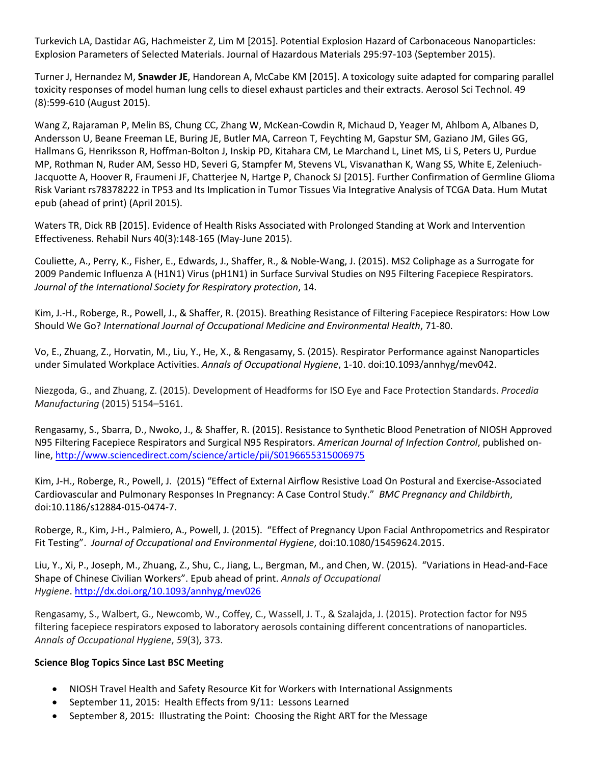Turkevich LA, Dastidar AG, Hachmeister Z, Lim M [2015]. Potential Explosion Hazard of Carbonaceous Nanoparticles: Explosion Parameters of Selected Materials. Journal of Hazardous Materials 295:97-103 (September 2015).

Turner J, Hernandez M, **Snawder JE**, Handorean A, McCabe KM [2015]. A toxicology suite adapted for comparing parallel toxicity responses of model human lung cells to diesel exhaust particles and their extracts. Aerosol Sci Technol. 49 (8):599-610 (August 2015).

Wang Z, Rajaraman P, Melin BS, Chung CC, Zhang W, McKean-Cowdin R, Michaud D, Yeager M, Ahlbom A, Albanes D, Andersson U, Beane Freeman LE, Buring JE, Butler MA, Carreon T, Feychting M, Gapstur SM, Gaziano JM, Giles GG, Hallmans G, Henriksson R, Hoffman-Bolton J, Inskip PD, Kitahara CM, Le Marchand L, Linet MS, Li S, Peters U, Purdue MP, Rothman N, Ruder AM, Sesso HD, Severi G, Stampfer M, Stevens VL, Visvanathan K, Wang SS, White E, Zeleniuch-Jacquotte A, Hoover R, Fraumeni JF, Chatterjee N, Hartge P, Chanock SJ [2015]. Further Confirmation of Germline Glioma Risk Variant rs78378222 in TP53 and Its Implication in Tumor Tissues Via Integrative Analysis of TCGA Data. Hum Mutat epub (ahead of print) (April 2015).

Waters TR, Dick RB [2015]. Evidence of Health Risks Associated with Prolonged Standing at Work and Intervention Effectiveness. Rehabil Nurs 40(3):148-165 (May-June 2015).

Couliette, A., Perry, K., Fisher, E., Edwards, J., Shaffer, R., & Noble-Wang, J. (2015). MS2 Coliphage as a Surrogate for 2009 Pandemic Influenza A (H1N1) Virus (pH1N1) in Surface Survival Studies on N95 Filtering Facepiece Respirators. *Journal of the International Society for Respiratory protection*, 14.

Kim, J.-H., Roberge, R., Powell, J., & Shaffer, R. (2015). Breathing Resistance of Filtering Facepiece Respirators: How Low Should We Go? *International Journal of Occupational Medicine and Environmental Health*, 71-80.

Vo, E., Zhuang, Z., Horvatin, M., Liu, Y., He, X., & Rengasamy, S. (2015). Respirator Performance against Nanoparticles under Simulated Workplace Activities. *Annals of Occupational Hygiene*, 1-10. doi:10.1093/annhyg/mev042.

Niezgoda, G., and Zhuang, Z. (2015). Development of Headforms for ISO Eye and Face Protection Standards. *Procedia Manufacturing* (2015) 5154–5161.

Rengasamy, S., Sbarra, D., Nwoko, J., & Shaffer, R. (2015). Resistance to Synthetic Blood Penetration of NIOSH Approved N95 Filtering Facepiece Respirators and Surgical N95 Respirators. *American Journal of Infection Control*, published online[, http://www.sciencedirect.com/science/article/pii/S0196655315006975](http://www.sciencedirect.com/science/article/pii/S0196655315006975)

Kim, J-H., Roberge, R., Powell, J. (2015) "Effect of External Airflow Resistive Load On Postural and Exercise-Associated Cardiovascular and Pulmonary Responses In Pregnancy: A Case Control Study." *BMC Pregnancy and Childbirth*, doi:10.1186/s12884-015-0474-7.

Roberge, R., Kim, J-H., Palmiero, A., Powell, J. (2015). "Effect of Pregnancy Upon Facial Anthropometrics and Respirator Fit Testing". *Journal of Occupational and Environmental Hygiene*, doi:10.1080/15459624.2015.

Liu, Y., Xi, P., Joseph, M., Zhuang, Z., Shu, C., Jiang, L., Bergman, M., and Chen, W. (2015). "Variations in Head-and-Face Shape of Chinese Civilian Workers". Epub ahead of print. *Annals of Occupational Hygiene*. [http://dx.doi.org/10.1093/annhyg/mev026](javascript:Loadfulltxt()

Rengasamy, S., Walbert, G., Newcomb, W., Coffey, C., Wassell, J. T., & Szalajda, J. (2015). Protection factor for N95 filtering facepiece respirators exposed to laboratory aerosols containing different concentrations of nanoparticles. *Annals of Occupational Hygiene*, *59*(3), 373.

## **Science Blog Topics Since Last BSC Meeting**

- NIOSH Travel Health and Safety Resource Kit for Workers with International Assignments
- September 11, 2015: Health Effects from 9/11: Lessons Learned
- September 8, 2015: Illustrating the Point: Choosing the Right ART for the Message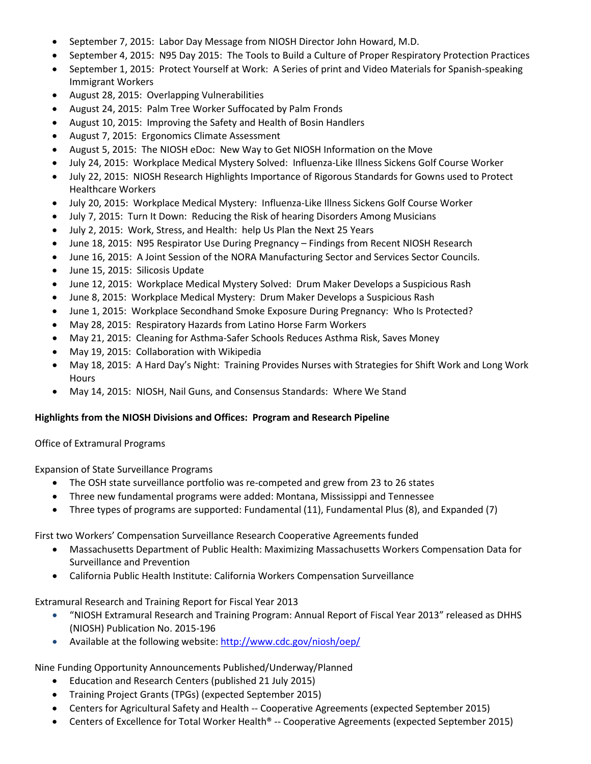- September 7, 2015: Labor Day Message from NIOSH Director John Howard, M.D.
- September 4, 2015: N95 Day 2015: The Tools to Build a Culture of Proper Respiratory Protection Practices
- September 1, 2015: Protect Yourself at Work: A Series of print and Video Materials for Spanish-speaking Immigrant Workers
- August 28, 2015: Overlapping Vulnerabilities
- August 24, 2015: Palm Tree Worker Suffocated by Palm Fronds
- August 10, 2015: Improving the Safety and Health of Bosin Handlers
- August 7, 2015: Ergonomics Climate Assessment
- August 5, 2015: The NIOSH eDoc: New Way to Get NIOSH Information on the Move
- July 24, 2015: Workplace Medical Mystery Solved: Influenza-Like Illness Sickens Golf Course Worker
- July 22, 2015: NIOSH Research Highlights Importance of Rigorous Standards for Gowns used to Protect Healthcare Workers
- July 20, 2015: Workplace Medical Mystery: Influenza-Like Illness Sickens Golf Course Worker
- July 7, 2015: Turn It Down: Reducing the Risk of hearing Disorders Among Musicians
- July 2, 2015: Work, Stress, and Health: help Us Plan the Next 25 Years
- June 18, 2015: N95 Respirator Use During Pregnancy Findings from Recent NIOSH Research
- June 16, 2015: A Joint Session of the NORA Manufacturing Sector and Services Sector Councils.
- June 15, 2015: Silicosis Update
- June 12, 2015: Workplace Medical Mystery Solved: Drum Maker Develops a Suspicious Rash
- June 8, 2015: Workplace Medical Mystery: Drum Maker Develops a Suspicious Rash
- June 1, 2015: Workplace Secondhand Smoke Exposure During Pregnancy: Who Is Protected?
- May 28, 2015: Respiratory Hazards from Latino Horse Farm Workers
- May 21, 2015: Cleaning for Asthma-Safer Schools Reduces Asthma Risk, Saves Money
- May 19, 2015: Collaboration with Wikipedia
- May 18, 2015: A Hard Day's Night: Training Provides Nurses with Strategies for Shift Work and Long Work **Hours**
- May 14, 2015: NIOSH, Nail Guns, and Consensus Standards: Where We Stand

#### **Highlights from the NIOSH Divisions and Offices: Program and Research Pipeline**

Office of Extramural Programs

Expansion of State Surveillance Programs

- The OSH state surveillance portfolio was re-competed and grew from 23 to 26 states
- Three new fundamental programs were added: Montana, Mississippi and Tennessee
- Three types of programs are supported: Fundamental (11), Fundamental Plus (8), and Expanded (7)

#### First two Workers' Compensation Surveillance Research Cooperative Agreements funded

- Massachusetts Department of Public Health: Maximizing Massachusetts Workers Compensation Data for Surveillance and Prevention
- California Public Health Institute: California Workers Compensation Surveillance

Extramural Research and Training Report for Fiscal Year 2013

- "NIOSH Extramural Research and Training Program: Annual Report of Fiscal Year 2013" released as DHHS (NIOSH) Publication No. 2015-196
- Available at the following website[: http://www.cdc.gov/niosh/oep/](http://www.cdc.gov/niosh/oep/)

## Nine Funding Opportunity Announcements Published/Underway/Planned

- Education and Research Centers (published 21 July 2015)
- Training Project Grants (TPGs) (expected September 2015)
- Centers for Agricultural Safety and Health -- Cooperative Agreements (expected September 2015)
- Centers of Excellence for Total Worker Health® -- Cooperative Agreements (expected September 2015)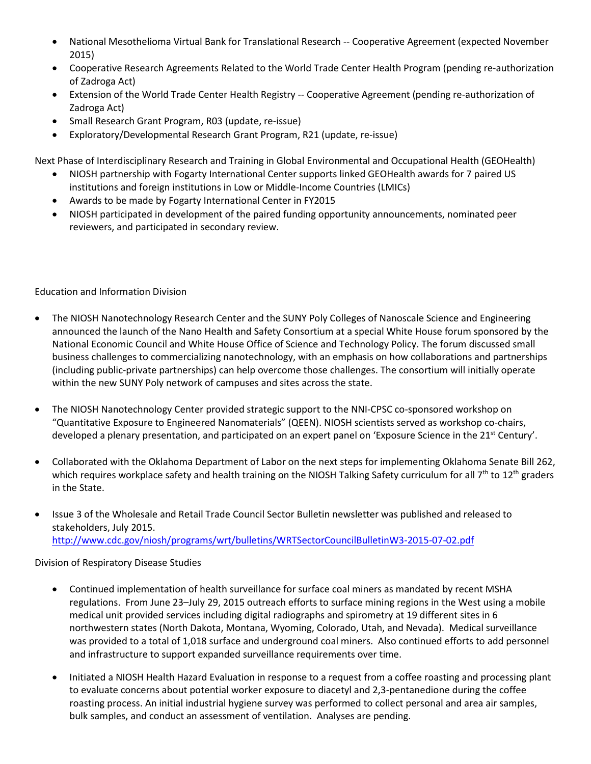- National Mesothelioma Virtual Bank for Translational Research -- Cooperative Agreement (expected November 2015)
- Cooperative Research Agreements Related to the World Trade Center Health Program (pending re-authorization of Zadroga Act)
- Extension of the World Trade Center Health Registry -- Cooperative Agreement (pending re-authorization of Zadroga Act)
- Small Research Grant Program, R03 (update, re-issue)
- Exploratory/Developmental Research Grant Program, R21 (update, re-issue)

Next Phase of Interdisciplinary Research and Training in Global Environmental and Occupational Health (GEOHealth)

- NIOSH partnership with Fogarty International Center supports linked GEOHealth awards for 7 paired US institutions and foreign institutions in Low or Middle-Income Countries (LMICs)
- Awards to be made by Fogarty International Center in FY2015
- NIOSH participated in development of the paired funding opportunity announcements, nominated peer reviewers, and participated in secondary review.

Education and Information Division

- The NIOSH Nanotechnology Research Center and the SUNY Poly Colleges of Nanoscale Science and Engineering announced the launch of the Nano Health and Safety Consortium at a special White House forum sponsored by the National Economic Council and White House Office of Science and Technology Policy. The forum discussed small business challenges to commercializing nanotechnology, with an emphasis on how collaborations and partnerships (including public-private partnerships) can help overcome those challenges. The consortium will initially operate within the new SUNY Poly network of campuses and sites across the state.
- The NIOSH Nanotechnology Center provided strategic support to the NNI-CPSC co-sponsored workshop on "Quantitative Exposure to Engineered Nanomaterials" (QEEN). NIOSH scientists served as workshop co-chairs, developed a plenary presentation, and participated on an expert panel on 'Exposure Science in the 21<sup>st</sup> Century'.
- Collaborated with the Oklahoma Department of Labor on the next steps for implementing Oklahoma Senate Bill 262, which requires workplace safety and health training on the NIOSH Talking Safety curriculum for all 7<sup>th</sup> to 12<sup>th</sup> graders in the State.
- Issue 3 of the Wholesale and Retail Trade Council Sector Bulletin newsletter was published and released to stakeholders, July 2015. <http://www.cdc.gov/niosh/programs/wrt/bulletins/WRTSectorCouncilBulletinW3-2015-07-02.pdf>

Division of Respiratory Disease Studies

- Continued implementation of health surveillance for surface coal miners as mandated by recent MSHA regulations. From June 23–July 29, 2015 outreach efforts to surface mining regions in the West using a mobile medical unit provided services including digital radiographs and spirometry at 19 different sites in 6 northwestern states (North Dakota, Montana, Wyoming, Colorado, Utah, and Nevada). Medical surveillance was provided to a total of 1,018 surface and underground coal miners. Also continued efforts to add personnel and infrastructure to support expanded surveillance requirements over time.
- Initiated a NIOSH Health Hazard Evaluation in response to a request from a coffee roasting and processing plant to evaluate concerns about potential worker exposure to diacetyl and 2,3-pentanedione during the coffee roasting process. An initial industrial hygiene survey was performed to collect personal and area air samples, bulk samples, and conduct an assessment of ventilation. Analyses are pending.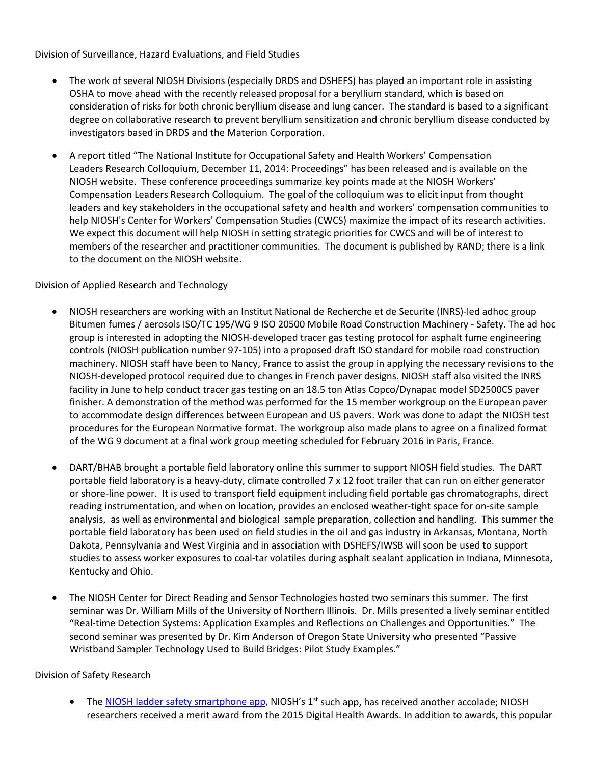Division of Surveillance, Hazard Evaluations, and Field Studies

- The work of several NIOSH Divisions (especially DRDS and DSHEFS) has played an important role in assisting OSHA to move ahead with the recently released proposal for a beryllium standard, which is based on consideration of risks for both chronic beryllium disease and lung cancer. The standard is based to a significant degree on collaborative research to prevent beryllium sensitization and chronic beryllium disease conducted by investigators based in DRDS and the Materion Corporation.
- A report titled "The National Institute for Occupational Safety and Health Workers' Compensation Leaders Research Colloquium, December 11, 2014: Proceedings" has been released and is available on the NIOSH website. These conference proceedings summarize key points made at the NIOSH Workers' Compensation Leaders Research Colloquium. The goal of the colloquium was to elicit input from thought leaders and key stakeholders in the occupational safety and health and workers' compensation communities to help NIOSH's Center for Workers' Compensation Studies (CWCS) maximize the impact of its research activities. We expect this document will help NIOSH in setting strategic priorities for CWCS and will be of interest to members of the researcher and practitioner communities. The document is published by RAND; there is a link to the document on the NIOSH website.

Division of Applied Research and Technology

- NIOSH researchers are working with an Institut National de Recherche et de Securite (INRS)-led adhoc group Bitumen fumes / aerosols ISO/TC 195/WG 9 ISO 20500 Mobile Road Construction Machinery - Safety. The ad hoc group is interested in adopting the NIOSH-developed tracer gas testing protocol for asphalt fume engineering controls (NIOSH publication number 97-105) into a proposed draft ISO standard for mobile road construction machinery. NIOSH staff have been to Nancy, France to assist the group in applying the necessary revisions to the NIOSH-developed protocol required due to changes in French paver designs. NIOSH staff also visited the INRS facility in June to help conduct tracer gas testing on an 18.5 ton Atlas Copco/Dynapac model SD2500CS paver finisher. A demonstration of the method was performed for the 15 member workgroup on the European paver to accommodate design differences between European and US pavers. Work was done to adapt the NIOSH test procedures for the European Normative format. The workgroup also made plans to agree on a finalized format of the WG 9 document at a final work group meeting scheduled for February 2016 in Paris, France.
- DART/BHAB brought a portable field laboratory online this summer to support NIOSH field studies. The DART portable field laboratory is a heavy-duty, climate controlled 7 x 12 foot trailer that can run on either generator or shore-line power. It is used to transport field equipment including field portable gas chromatographs, direct reading instrumentation, and when on location, provides an enclosed weather-tight space for on-site sample analysis, as well as environmental and biological sample preparation, collection and handling. This summer the portable field laboratory has been used on field studies in the oil and gas industry in Arkansas, Montana, North Dakota, Pennsylvania and West Virginia and in association with DSHEFS/IWSB will soon be used to support studies to assess worker exposures to coal-tar volatiles during asphalt sealant application in Indiana, Minnesota, Kentucky and Ohio.
- The NIOSH Center for Direct Reading and Sensor Technologies hosted two seminars this summer. The first seminar was Dr. William Mills of the University of Northern Illinois. Dr. Mills presented a lively seminar entitled "Real-time Detection Systems: Application Examples and Reflections on Challenges and Opportunities." The second seminar was presented by Dr. Kim Anderson of Oregon State University who presented "Passive Wristband Sampler Technology Used to Build Bridges: Pilot Study Examples."

Division of Safety Research

• The [NIOSH ladder safety smartphone app,](http://www.cdc.gov/niosh/topics/falls/mobileapp.html) NIOSH's  $1<sup>st</sup>$  such app, has received another accolade; NIOSH researchers received a merit award from the 2015 Digital Health Awards. In addition to awards, this popular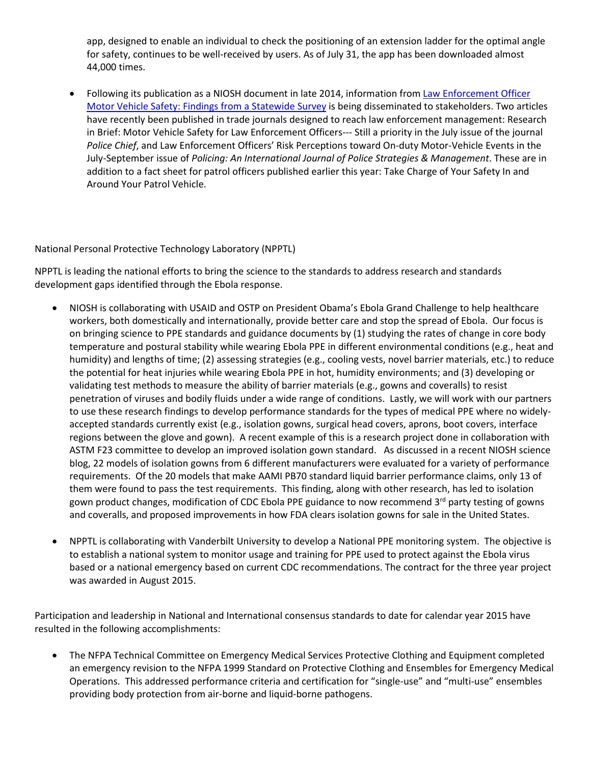app, designed to enable an individual to check the positioning of an extension ladder for the optimal angle for safety, continues to be well-received by users. As of July 31, the app has been downloaded almost 44,000 times.

• Following its publication as a NIOSH document in late 2014, information from Law Enforcement Officer [Motor Vehicle Safety: Findings from a Statewide Survey](http://www.cdc.gov/niosh/docs/2015-101/pdfs/2015-101_v2-.pdf) is being disseminated to stakeholders. Two articles have recently been published in trade journals designed to reach law enforcement management: Research in Brief: Motor Vehicle Safety for Law Enforcement Officers--- Still a priority in the July issue of the journal *Police Chief*, and Law Enforcement Officers' Risk Perceptions toward On-duty Motor-Vehicle Events in the July-September issue of *Policing: An International Journal of Police Strategies & Management*. These are in addition to a fact sheet for patrol officers published earlier this year: Take Charge of Your Safety In and Around Your Patrol Vehicle.

National Personal Protective Technology Laboratory (NPPTL)

NPPTL is leading the national efforts to bring the science to the standards to address research and standards development gaps identified through the Ebola response.

- NIOSH is collaborating with USAID and OSTP on President Obama's Ebola Grand Challenge to help healthcare workers, both domestically and internationally, provide better care and stop the spread of Ebola. Our focus is on bringing science to PPE standards and guidance documents by (1) studying the rates of change in core body temperature and postural stability while wearing Ebola PPE in different environmental conditions (e.g., heat and humidity) and lengths of time; (2) assessing strategies (e.g., cooling vests, novel barrier materials, etc.) to reduce the potential for heat injuries while wearing Ebola PPE in hot, humidity environments; and (3) developing or validating test methods to measure the ability of barrier materials (e.g., gowns and coveralls) to resist penetration of viruses and bodily fluids under a wide range of conditions. Lastly, we will work with our partners to use these research findings to develop performance standards for the types of medical PPE where no widelyaccepted standards currently exist (e.g., isolation gowns, surgical head covers, aprons, boot covers, interface regions between the glove and gown). A recent example of this is a research project done in collaboration with ASTM F23 committee to develop an improved isolation gown standard. As discussed in a recent NIOSH science blog, 22 models of isolation gowns from 6 different manufacturers were evaluated for a variety of performance requirements. Of the 20 models that make AAMI PB70 standard liquid barrier performance claims, only 13 of them were found to pass the test requirements. This finding, along with other research, has led to isolation gown product changes, modification of CDC Ebola PPE guidance to now recommend 3<sup>rd</sup> party testing of gowns and coveralls, and proposed improvements in how FDA clears isolation gowns for sale in the United States.
- NPPTL is collaborating with Vanderbilt University to develop a National PPE monitoring system. The objective is to establish a national system to monitor usage and training for PPE used to protect against the Ebola virus based or a national emergency based on current CDC recommendations. The contract for the three year project was awarded in August 2015.

Participation and leadership in National and International consensus standards to date for calendar year 2015 have resulted in the following accomplishments:

• The NFPA Technical Committee on Emergency Medical Services Protective Clothing and Equipment completed an emergency revision to the NFPA 1999 Standard on Protective Clothing and Ensembles for Emergency Medical Operations. This addressed performance criteria and certification for "single-use" and "multi-use" ensembles providing body protection from air-borne and liquid-borne pathogens.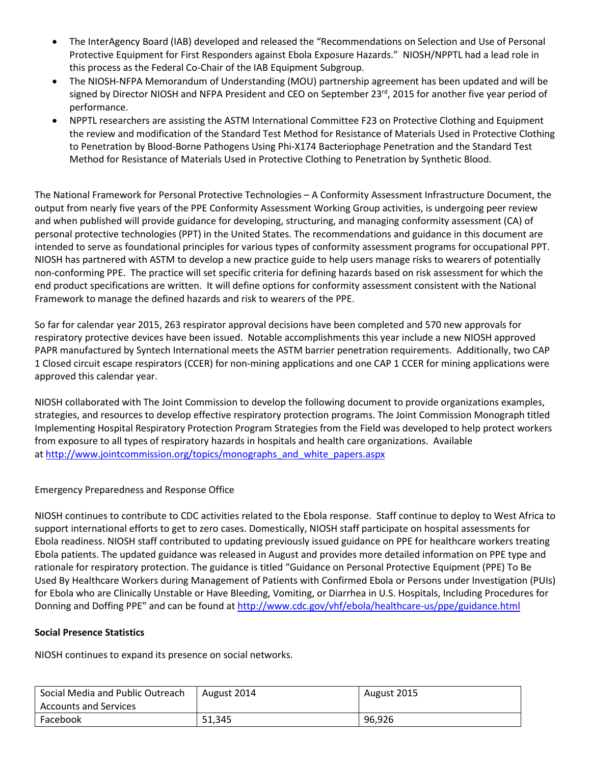- The InterAgency Board (IAB) developed and released the "Recommendations on Selection and Use of Personal Protective Equipment for First Responders against Ebola Exposure Hazards." NIOSH/NPPTL had a lead role in this process as the Federal Co-Chair of the IAB Equipment Subgroup.
- The NIOSH-NFPA Memorandum of Understanding (MOU) partnership agreement has been updated and will be signed by Director NIOSH and NFPA President and CEO on September 23<sup>rd</sup>, 2015 for another five year period of performance.
- NPPTL researchers are assisting the ASTM International Committee F23 on Protective Clothing and Equipment the review and modification of the Standard Test Method for Resistance of Materials Used in Protective Clothing to Penetration by Blood-Borne Pathogens Using Phi-X174 Bacteriophage Penetration and the Standard Test Method for Resistance of Materials Used in Protective Clothing to Penetration by Synthetic Blood.

The National Framework for Personal Protective Technologies – A Conformity Assessment Infrastructure Document, the output from nearly five years of the PPE Conformity Assessment Working Group activities, is undergoing peer review and when published will provide guidance for developing, structuring, and managing conformity assessment (CA) of personal protective technologies (PPT) in the United States. The recommendations and guidance in this document are intended to serve as foundational principles for various types of conformity assessment programs for occupational PPT. NIOSH has partnered with ASTM to develop a new practice guide to help users manage risks to wearers of potentially non-conforming PPE. The practice will set specific criteria for defining hazards based on risk assessment for which the end product specifications are written. It will define options for conformity assessment consistent with the National Framework to manage the defined hazards and risk to wearers of the PPE.

So far for calendar year 2015, 263 respirator approval decisions have been completed and 570 new approvals for respiratory protective devices have been issued. Notable accomplishments this year include a new NIOSH approved PAPR manufactured by Syntech International meets the ASTM barrier penetration requirements. Additionally, two CAP 1 Closed circuit escape respirators (CCER) for non-mining applications and one CAP 1 CCER for mining applications were approved this calendar year.

NIOSH collaborated with The Joint Commission to develop the following document to provide organizations examples, strategies, and resources to develop effective respiratory protection programs. The Joint Commission Monograph titled Implementing Hospital Respiratory Protection Program Strategies from the Field was developed to help protect workers from exposure to all types of respiratory hazards in hospitals and health care organizations. Available at [http://www.jointcommission.org/topics/monographs\\_and\\_white\\_papers.aspx](http://www.jointcommission.org/topics/monographs_and_white_papers.aspx)

## Emergency Preparedness and Response Office

NIOSH continues to contribute to CDC activities related to the Ebola response. Staff continue to deploy to West Africa to support international efforts to get to zero cases. Domestically, NIOSH staff participate on hospital assessments for Ebola readiness. NIOSH staff contributed to updating previously issued guidance on PPE for healthcare workers treating Ebola patients. The updated guidance was released in August and provides more detailed information on PPE type and rationale for respiratory protection. The guidance is titled "Guidance on Personal Protective Equipment (PPE) To Be Used By Healthcare Workers during Management of Patients with Confirmed Ebola or Persons under Investigation (PUIs) for Ebola who are Clinically Unstable or Have Bleeding, Vomiting, or Diarrhea in U.S. Hospitals, Including Procedures for Donning and Doffing PPE" and can be found at<http://www.cdc.gov/vhf/ebola/healthcare-us/ppe/guidance.html>

## **Social Presence Statistics**

NIOSH continues to expand its presence on social networks.

| Social Media and Public Outreach | August 2014 | August 2015 |
|----------------------------------|-------------|-------------|
| Accounts and Services            |             |             |
| Facebook                         | 51.345      | 96.926      |